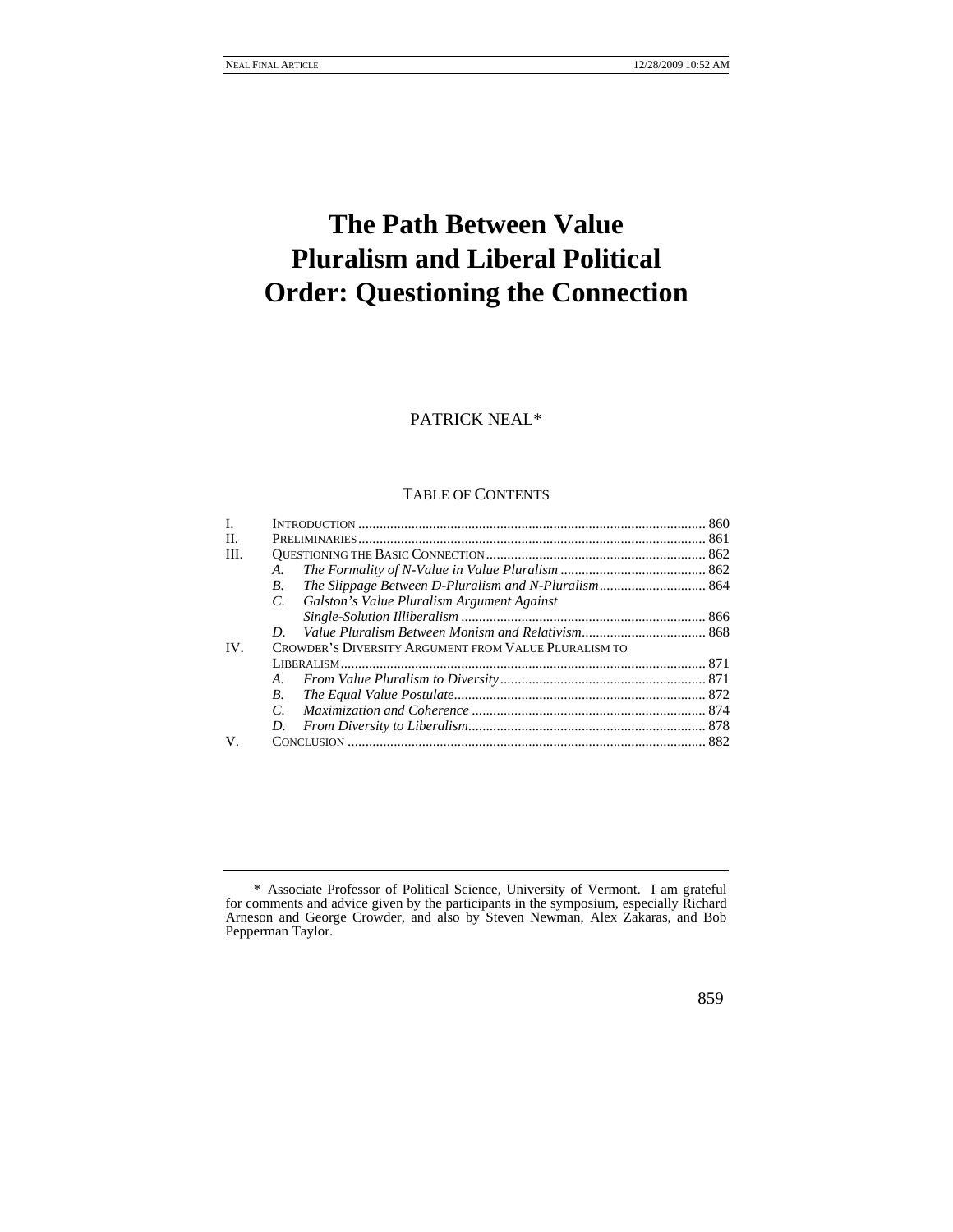# **The Path Between Value Pluralism and Liberal Political Order: Questioning the Connection**

# PATRICK NEAL\*

# TABLE OF CONTENTS

| L    |                                                      |  |
|------|------------------------------------------------------|--|
| H.   |                                                      |  |
| III. |                                                      |  |
|      | А.                                                   |  |
|      | В.                                                   |  |
|      | Galston's Value Pluralism Argument Against<br>C.     |  |
|      |                                                      |  |
|      | D.                                                   |  |
| IV.  | CROWDER'S DIVERSITY ARGUMENT FROM VALUE PLURALISM TO |  |
|      |                                                      |  |
|      |                                                      |  |
|      | <b>B.</b>                                            |  |
|      | $\mathcal{C}$                                        |  |
|      | D.                                                   |  |
| V.   |                                                      |  |
|      |                                                      |  |

 <sup>\*</sup> Associate Professor of Political Science, University of Vermont. I am grateful for comments and advice given by the participants in the symposium, especially Richard Arneson and George Crowder, and also by Steven Newman, Alex Zakaras, and Bob Pepperman Taylor.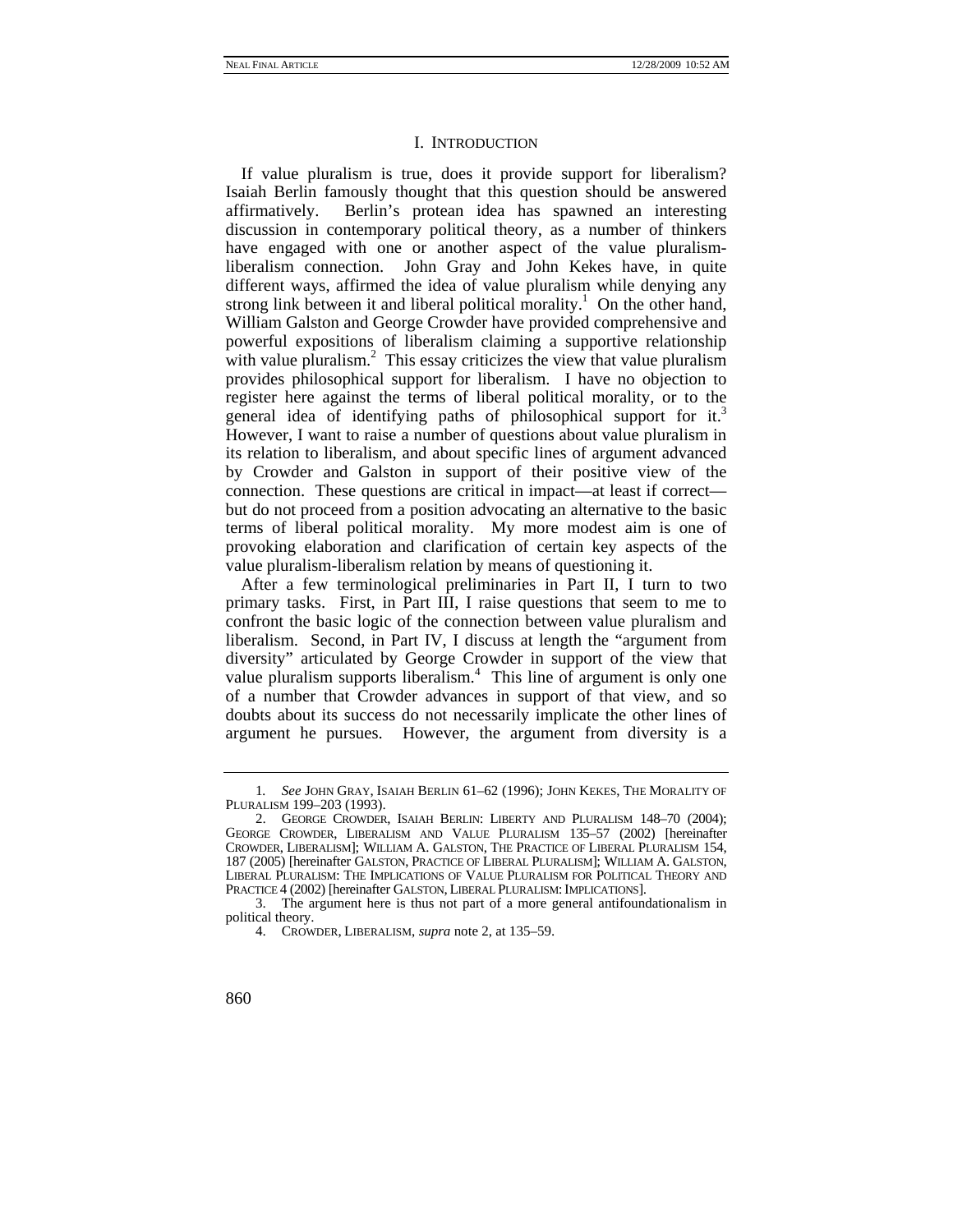#### I. INTRODUCTION

If value pluralism is true, does it provide support for liberalism? Isaiah Berlin famously thought that this question should be answered affirmatively. Berlin's protean idea has spawned an interesting discussion in contemporary political theory, as a number of thinkers have engaged with one or another aspect of the value pluralismliberalism connection. John Gray and John Kekes have, in quite different ways, affirmed the idea of value pluralism while denying any strong link between it and liberal political morality.<sup>1</sup> On the other hand, William Galston and George Crowder have provided comprehensive and powerful expositions of liberalism claiming a supportive relationship with value pluralism.<sup>2</sup> This essay criticizes the view that value pluralism provides philosophical support for liberalism. I have no objection to register here against the terms of liberal political morality, or to the general idea of identifying paths of philosophical support for it.<sup>3</sup> However, I want to raise a number of questions about value pluralism in its relation to liberalism, and about specific lines of argument advanced by Crowder and Galston in support of their positive view of the connection. These questions are critical in impact—at least if correct but do not proceed from a position advocating an alternative to the basic terms of liberal political morality. My more modest aim is one of provoking elaboration and clarification of certain key aspects of the value pluralism-liberalism relation by means of questioning it.

After a few terminological preliminaries in Part II, I turn to two primary tasks. First, in Part III, I raise questions that seem to me to confront the basic logic of the connection between value pluralism and liberalism. Second, in Part IV, I discuss at length the "argument from diversity" articulated by George Crowder in support of the view that value pluralism supports liberalism.<sup>4</sup> This line of argument is only one of a number that Crowder advances in support of that view, and so doubts about its success do not necessarily implicate the other lines of argument he pursues. However, the argument from diversity is a

<sup>1</sup>*. See* JOHN GRAY, ISAIAH BERLIN 61–62 (1996); JOHN KEKES, THE MORALITY OF PLURALISM 199–203 (1993).

 <sup>2.</sup> GEORGE CROWDER, ISAIAH BERLIN: LIBERTY AND PLURALISM 148–70 (2004); GEORGE CROWDER, LIBERALISM AND VALUE PLURALISM 135–57 (2002) [hereinafter CROWDER, LIBERALISM]; WILLIAM A. GALSTON, THE PRACTICE OF LIBERAL PLURALISM 154, 187 (2005) [hereinafter GALSTON, PRACTICE OF LIBERAL PLURALISM]; WILLIAM A. GALSTON, LIBERAL PLURALISM: THE IMPLICATIONS OF VALUE PLURALISM FOR POLITICAL THEORY AND PRACTICE 4 (2002) [hereinafter GALSTON, LIBERAL PLURALISM: IMPLICATIONS].

 <sup>3.</sup> The argument here is thus not part of a more general antifoundationalism in political theory.

 <sup>4.</sup> CROWDER, LIBERALISM, *supra* note 2, at 135–59.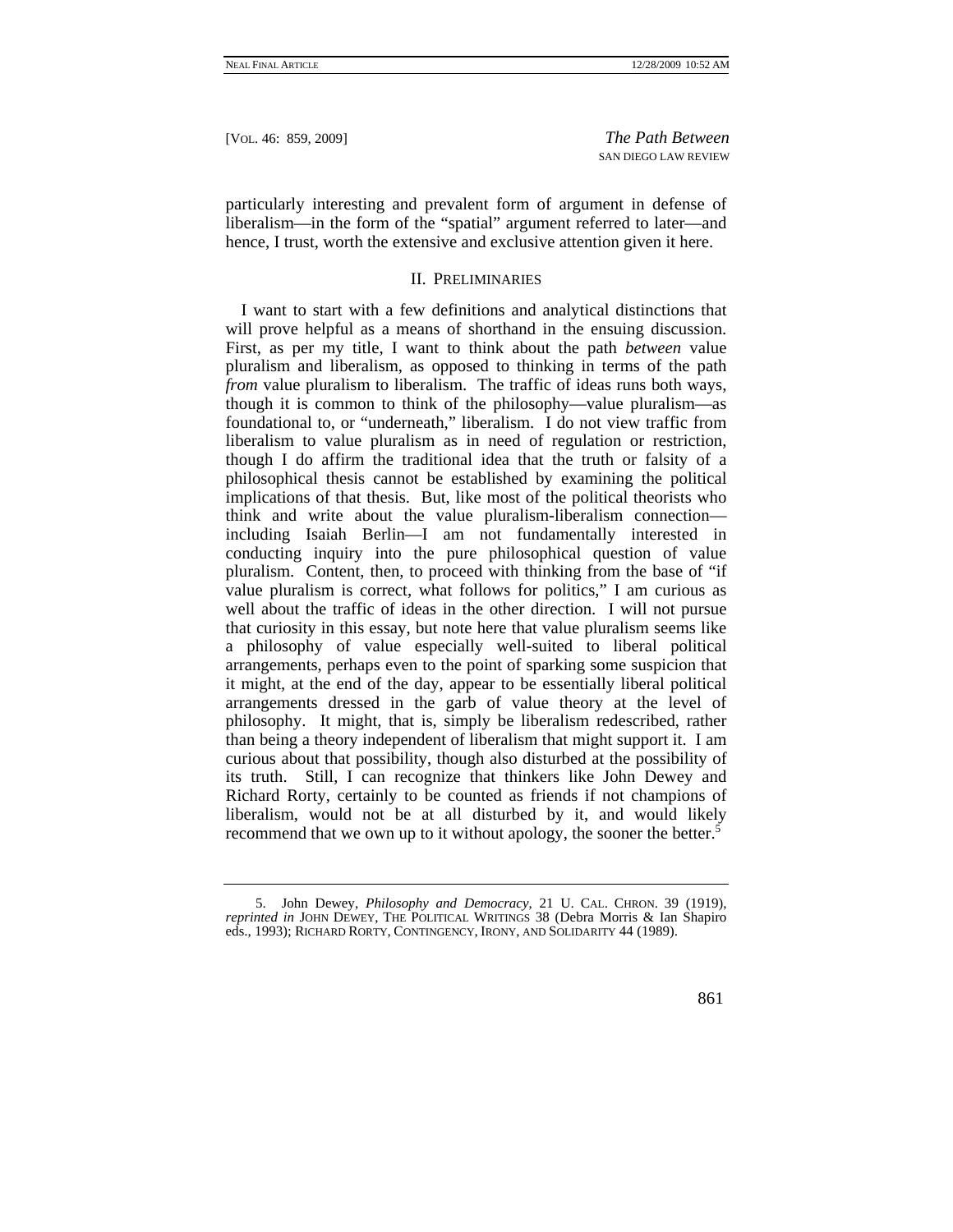particularly interesting and prevalent form of argument in defense of liberalism—in the form of the "spatial" argument referred to later—and hence, I trust, worth the extensive and exclusive attention given it here.

## II. PRELIMINARIES

I want to start with a few definitions and analytical distinctions that will prove helpful as a means of shorthand in the ensuing discussion. First, as per my title, I want to think about the path *between* value pluralism and liberalism, as opposed to thinking in terms of the path *from value pluralism to liberalism.* The traffic of ideas runs both ways, though it is common to think of the philosophy—value pluralism—as foundational to, or "underneath," liberalism. I do not view traffic from liberalism to value pluralism as in need of regulation or restriction, though I do affirm the traditional idea that the truth or falsity of a philosophical thesis cannot be established by examining the political implications of that thesis. But, like most of the political theorists who think and write about the value pluralism-liberalism connection including Isaiah Berlin—I am not fundamentally interested in conducting inquiry into the pure philosophical question of value pluralism. Content, then, to proceed with thinking from the base of "if value pluralism is correct, what follows for politics," I am curious as well about the traffic of ideas in the other direction. I will not pursue that curiosity in this essay, but note here that value pluralism seems like a philosophy of value especially well-suited to liberal political arrangements, perhaps even to the point of sparking some suspicion that it might, at the end of the day, appear to be essentially liberal political arrangements dressed in the garb of value theory at the level of philosophy. It might, that is, simply be liberalism redescribed, rather than being a theory independent of liberalism that might support it. I am curious about that possibility, though also disturbed at the possibility of its truth. Still, I can recognize that thinkers like John Dewey and Richard Rorty, certainly to be counted as friends if not champions of liberalism, would not be at all disturbed by it, and would likely recommend that we own up to it without apology, the sooner the better.<sup>5</sup>

 <sup>5.</sup> John Dewey, *Philosophy and Democracy*, 21 U. CAL. CHRON. 39 (1919), *reprinted in* JOHN DEWEY, THE POLITICAL WRITINGS 38 (Debra Morris & Ian Shapiro eds., 1993); RICHARD RORTY, CONTINGENCY, IRONY, AND SOLIDARITY 44 (1989).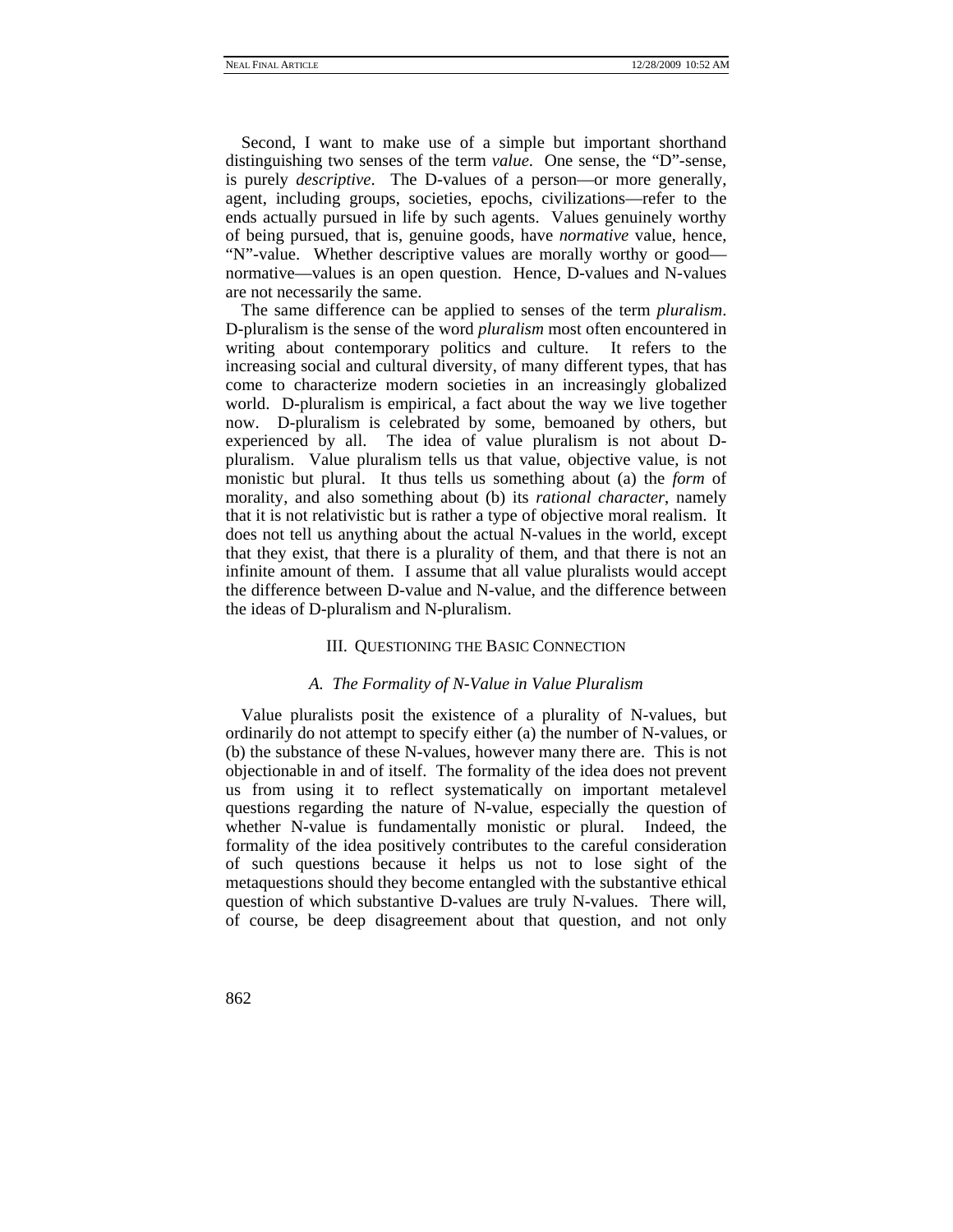Second, I want to make use of a simple but important shorthand distinguishing two senses of the term *value*. One sense, the "D"-sense, is purely *descriptive*. The D-values of a person—or more generally, agent, including groups, societies, epochs, civilizations—refer to the ends actually pursued in life by such agents. Values genuinely worthy of being pursued, that is, genuine goods, have *normative* value, hence, "N"-value. Whether descriptive values are morally worthy or good normative—values is an open question. Hence, D-values and N-values are not necessarily the same.

The same difference can be applied to senses of the term *pluralism*. D-pluralism is the sense of the word *pluralism* most often encountered in writing about contemporary politics and culture. It refers to the increasing social and cultural diversity, of many different types, that has come to characterize modern societies in an increasingly globalized world. D-pluralism is empirical, a fact about the way we live together now. D-pluralism is celebrated by some, bemoaned by others, but experienced by all. The idea of value pluralism is not about Dpluralism. Value pluralism tells us that value, objective value, is not monistic but plural. It thus tells us something about (a) the *form* of morality, and also something about (b) its *rational character*, namely that it is not relativistic but is rather a type of objective moral realism. It does not tell us anything about the actual N-values in the world, except that they exist, that there is a plurality of them, and that there is not an infinite amount of them. I assume that all value pluralists would accept the difference between D-value and N-value, and the difference between the ideas of D-pluralism and N-pluralism.

#### III. QUESTIONING THE BASIC CONNECTION

#### *A. The Formality of N-Value in Value Pluralism*

Value pluralists posit the existence of a plurality of N-values, but ordinarily do not attempt to specify either (a) the number of N-values, or (b) the substance of these N-values, however many there are. This is not objectionable in and of itself. The formality of the idea does not prevent us from using it to reflect systematically on important metalevel questions regarding the nature of N-value, especially the question of whether N-value is fundamentally monistic or plural. Indeed, the formality of the idea positively contributes to the careful consideration of such questions because it helps us not to lose sight of the metaquestions should they become entangled with the substantive ethical question of which substantive D-values are truly N-values. There will, of course, be deep disagreement about that question, and not only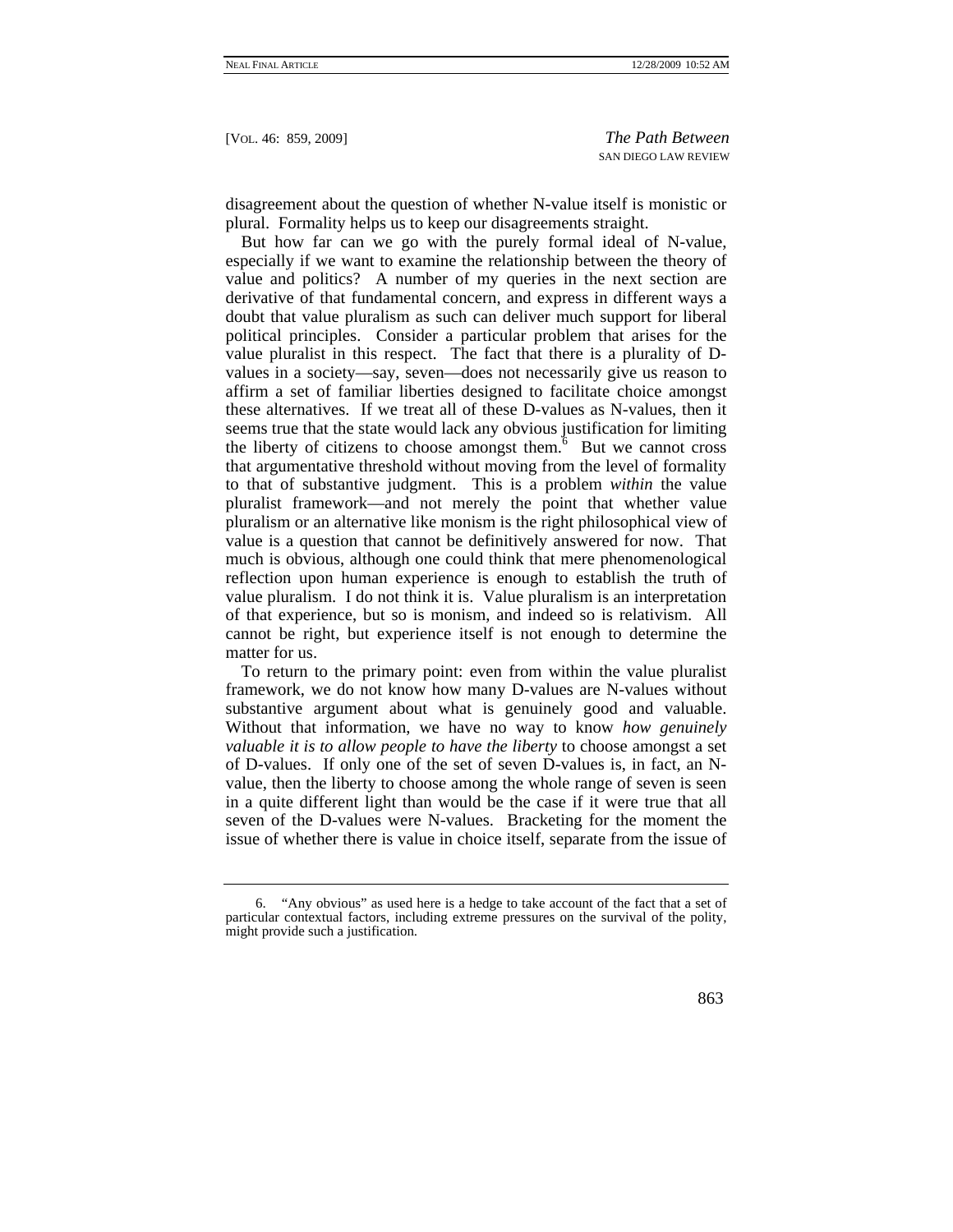disagreement about the question of whether N-value itself is monistic or plural. Formality helps us to keep our disagreements straight.

But how far can we go with the purely formal ideal of N-value, especially if we want to examine the relationship between the theory of value and politics? A number of my queries in the next section are derivative of that fundamental concern, and express in different ways a doubt that value pluralism as such can deliver much support for liberal political principles. Consider a particular problem that arises for the value pluralist in this respect. The fact that there is a plurality of Dvalues in a society—say, seven—does not necessarily give us reason to affirm a set of familiar liberties designed to facilitate choice amongst these alternatives. If we treat all of these D-values as N-values, then it seems true that the state would lack any obvious justification for limiting the liberty of citizens to choose amongst them. $6$  But we cannot cross that argumentative threshold without moving from the level of formality to that of substantive judgment. This is a problem *within* the value pluralist framework—and not merely the point that whether value pluralism or an alternative like monism is the right philosophical view of value is a question that cannot be definitively answered for now. That much is obvious, although one could think that mere phenomenological reflection upon human experience is enough to establish the truth of value pluralism. I do not think it is. Value pluralism is an interpretation of that experience, but so is monism, and indeed so is relativism. All cannot be right, but experience itself is not enough to determine the matter for us.

To return to the primary point: even from within the value pluralist framework, we do not know how many D-values are N-values without substantive argument about what is genuinely good and valuable. Without that information, we have no way to know *how genuinely valuable it is to allow people to have the liberty* to choose amongst a set of D-values. If only one of the set of seven D-values is, in fact, an Nvalue, then the liberty to choose among the whole range of seven is seen in a quite different light than would be the case if it were true that all seven of the D-values were N-values. Bracketing for the moment the issue of whether there is value in choice itself, separate from the issue of

 <sup>6. &</sup>quot;Any obvious" as used here is a hedge to take account of the fact that a set of particular contextual factors, including extreme pressures on the survival of the polity, might provide such a justification.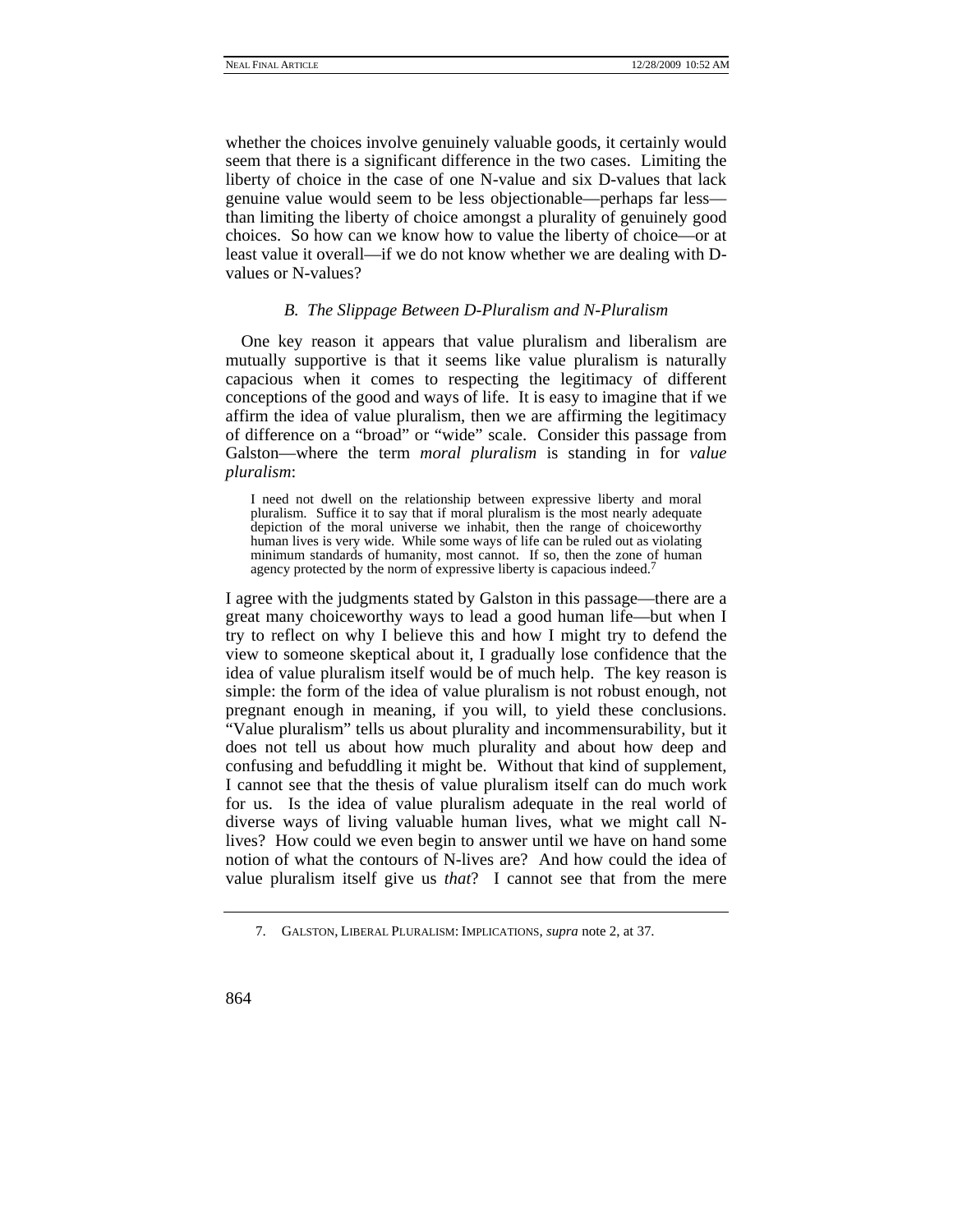whether the choices involve genuinely valuable goods, it certainly would seem that there is a significant difference in the two cases. Limiting the liberty of choice in the case of one N-value and six D-values that lack genuine value would seem to be less objectionable—perhaps far less than limiting the liberty of choice amongst a plurality of genuinely good choices. So how can we know how to value the liberty of choice—or at least value it overall—if we do not know whether we are dealing with Dvalues or N-values?

### *B. The Slippage Between D-Pluralism and N-Pluralism*

One key reason it appears that value pluralism and liberalism are mutually supportive is that it seems like value pluralism is naturally capacious when it comes to respecting the legitimacy of different conceptions of the good and ways of life. It is easy to imagine that if we affirm the idea of value pluralism, then we are affirming the legitimacy of difference on a "broad" or "wide" scale. Consider this passage from Galston—where the term *moral pluralism* is standing in for *value pluralism*:

I need not dwell on the relationship between expressive liberty and moral pluralism. Suffice it to say that if moral pluralism is the most nearly adequate depiction of the moral universe we inhabit, then the range of choiceworthy human lives is very wide. While some ways of life can be ruled out as violating minimum standards of humanity, most cannot. If so, then the zone of human agency protected by the norm of expressive liberty is capacious indeed.7

I agree with the judgments stated by Galston in this passage—there are a great many choiceworthy ways to lead a good human life—but when I try to reflect on why I believe this and how I might try to defend the view to someone skeptical about it, I gradually lose confidence that the idea of value pluralism itself would be of much help. The key reason is simple: the form of the idea of value pluralism is not robust enough, not pregnant enough in meaning, if you will, to yield these conclusions. "Value pluralism" tells us about plurality and incommensurability, but it does not tell us about how much plurality and about how deep and confusing and befuddling it might be. Without that kind of supplement, I cannot see that the thesis of value pluralism itself can do much work for us. Is the idea of value pluralism adequate in the real world of diverse ways of living valuable human lives, what we might call Nlives? How could we even begin to answer until we have on hand some notion of what the contours of N-lives are? And how could the idea of value pluralism itself give us *that*? I cannot see that from the mere

 <sup>7.</sup> GALSTON, LIBERAL PLURALISM: IMPLICATIONS, *supra* note 2, at 37.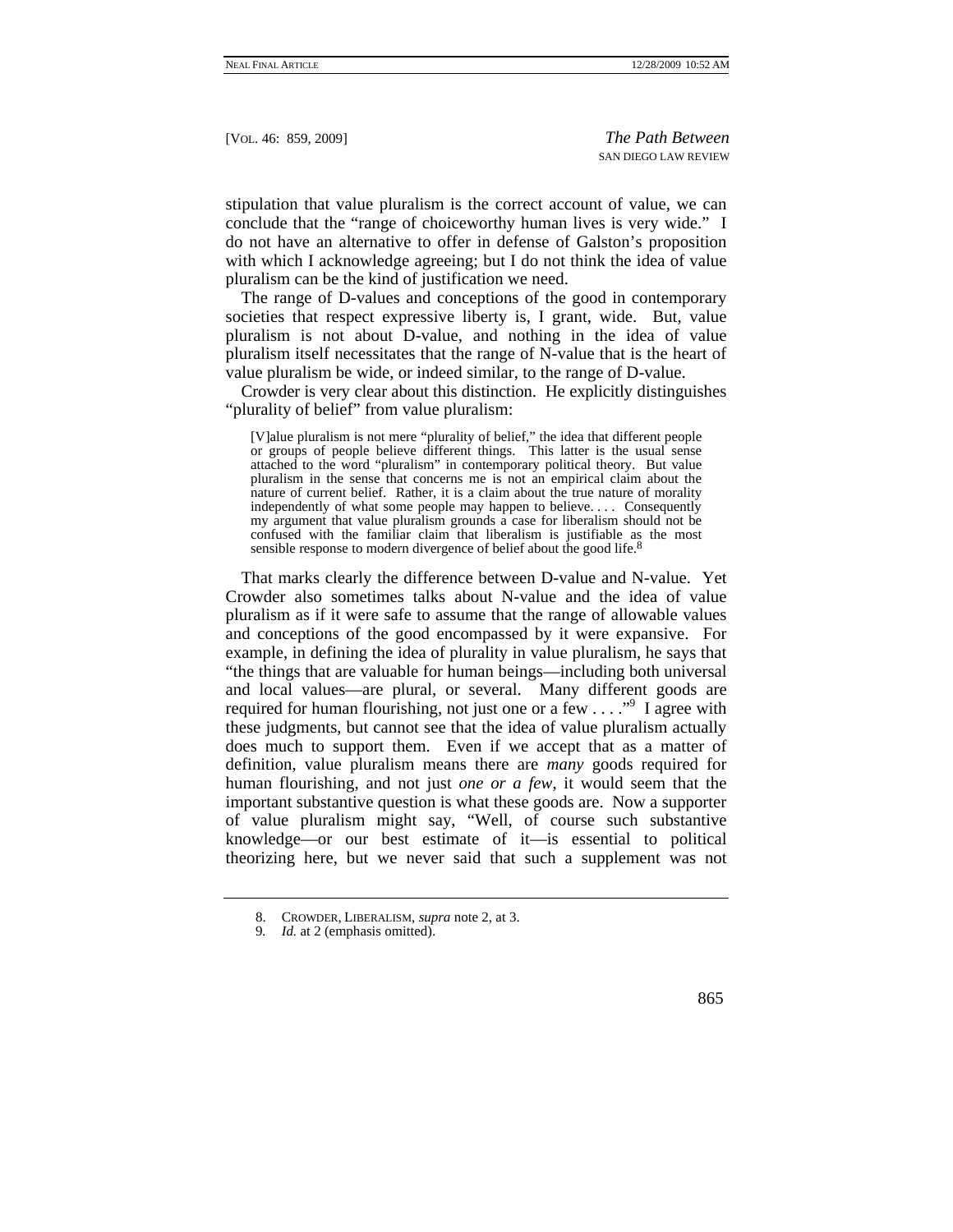stipulation that value pluralism is the correct account of value, we can conclude that the "range of choiceworthy human lives is very wide." I do not have an alternative to offer in defense of Galston's proposition with which I acknowledge agreeing; but I do not think the idea of value pluralism can be the kind of justification we need.

The range of D-values and conceptions of the good in contemporary societies that respect expressive liberty is, I grant, wide. But, value pluralism is not about D-value, and nothing in the idea of value pluralism itself necessitates that the range of N-value that is the heart of value pluralism be wide, or indeed similar, to the range of D-value.

Crowder is very clear about this distinction. He explicitly distinguishes "plurality of belief" from value pluralism:

[V]alue pluralism is not mere "plurality of belief," the idea that different people or groups of people believe different things. This latter is the usual sense attached to the word "pluralism" in contemporary political theory. But value pluralism in the sense that concerns me is not an empirical claim about the nature of current belief. Rather, it is a claim about the true nature of morality independently of what some people may happen to believe. . . . Consequently my argument that value pluralism grounds a case for liberalism should not be confused with the familiar claim that liberalism is justifiable as the most sensible response to modern divergence of belief about the good life.<sup>8</sup>

That marks clearly the difference between D-value and N-value. Yet Crowder also sometimes talks about N-value and the idea of value pluralism as if it were safe to assume that the range of allowable values and conceptions of the good encompassed by it were expansive. For example, in defining the idea of plurality in value pluralism, he says that "the things that are valuable for human beings—including both universal and local values—are plural, or several. Many different goods are required for human flourishing, not just one or a few  $\dots$ ." I agree with these judgments, but cannot see that the idea of value pluralism actually does much to support them. Even if we accept that as a matter of definition, value pluralism means there are *many* goods required for human flourishing, and not just *one or a few*, it would seem that the important substantive question is what these goods are. Now a supporter of value pluralism might say, "Well, of course such substantive knowledge—or our best estimate of it—is essential to political theorizing here, but we never said that such a supplement was not

 <sup>8.</sup> CROWDER, LIBERALISM, *supra* note 2, at 3.

<sup>9</sup>*. Id.* at 2 (emphasis omitted).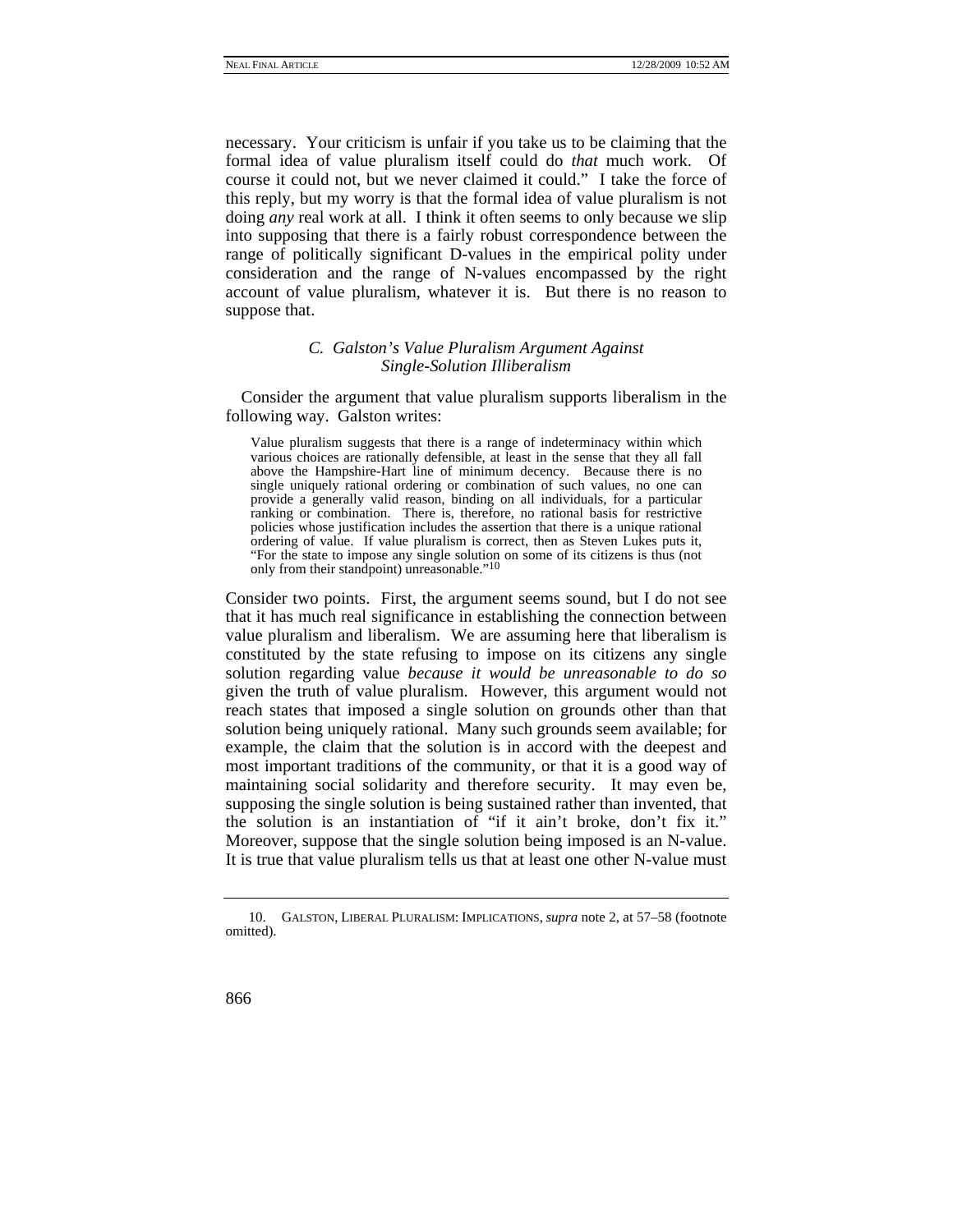necessary. Your criticism is unfair if you take us to be claiming that the formal idea of value pluralism itself could do *that* much work. Of course it could not, but we never claimed it could." I take the force of this reply, but my worry is that the formal idea of value pluralism is not doing *any* real work at all. I think it often seems to only because we slip into supposing that there is a fairly robust correspondence between the range of politically significant D-values in the empirical polity under consideration and the range of N-values encompassed by the right account of value pluralism, whatever it is. But there is no reason to suppose that.

# *C. Galston's Value Pluralism Argument Against Single-Solution Illiberalism*

Consider the argument that value pluralism supports liberalism in the following way. Galston writes:

Value pluralism suggests that there is a range of indeterminacy within which various choices are rationally defensible, at least in the sense that they all fall above the Hampshire-Hart line of minimum decency. Because there is no single uniquely rational ordering or combination of such values, no one can provide a generally valid reason, binding on all individuals, for a particular ranking or combination. There is, therefore, no rational basis for restrictive policies whose justification includes the assertion that there is a unique rational ordering of value. If value pluralism is correct, then as Steven Lukes puts it, "For the state to impose any single solution on some of its citizens is thus (not only from their standpoint) unreasonable."10

Consider two points. First, the argument seems sound, but I do not see that it has much real significance in establishing the connection between value pluralism and liberalism. We are assuming here that liberalism is constituted by the state refusing to impose on its citizens any single solution regarding value *because it would be unreasonable to do so*  given the truth of value pluralism. However, this argument would not reach states that imposed a single solution on grounds other than that solution being uniquely rational. Many such grounds seem available; for example, the claim that the solution is in accord with the deepest and most important traditions of the community, or that it is a good way of maintaining social solidarity and therefore security. It may even be, supposing the single solution is being sustained rather than invented, that the solution is an instantiation of "if it ain't broke, don't fix it." Moreover, suppose that the single solution being imposed is an N-value. It is true that value pluralism tells us that at least one other N-value must

 <sup>10.</sup> GALSTON, LIBERAL PLURALISM: IMPLICATIONS, *supra* note 2, at 57–58 (footnote omitted).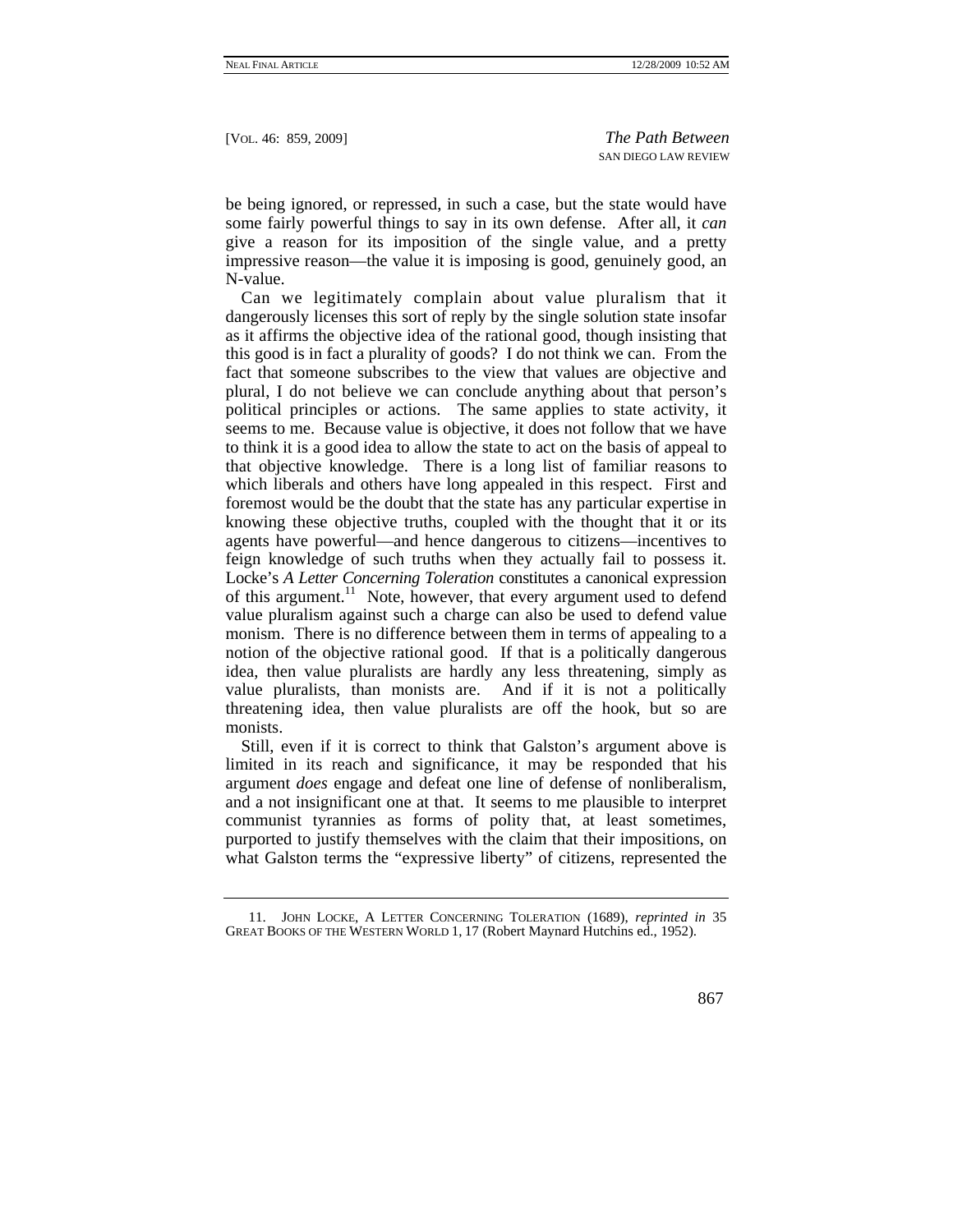be being ignored, or repressed, in such a case, but the state would have some fairly powerful things to say in its own defense. After all, it *can* give a reason for its imposition of the single value, and a pretty impressive reason—the value it is imposing is good, genuinely good, an N-value.

Can we legitimately complain about value pluralism that it dangerously licenses this sort of reply by the single solution state insofar as it affirms the objective idea of the rational good, though insisting that this good is in fact a plurality of goods? I do not think we can. From the fact that someone subscribes to the view that values are objective and plural, I do not believe we can conclude anything about that person's political principles or actions. The same applies to state activity, it seems to me. Because value is objective, it does not follow that we have to think it is a good idea to allow the state to act on the basis of appeal to that objective knowledge. There is a long list of familiar reasons to which liberals and others have long appealed in this respect. First and foremost would be the doubt that the state has any particular expertise in knowing these objective truths, coupled with the thought that it or its agents have powerful—and hence dangerous to citizens—incentives to feign knowledge of such truths when they actually fail to possess it. Locke's *A Letter Concerning Toleration* constitutes a canonical expression of this argument.<sup>11</sup> Note, however, that every argument used to defend value pluralism against such a charge can also be used to defend value monism. There is no difference between them in terms of appealing to a notion of the objective rational good. If that is a politically dangerous idea, then value pluralists are hardly any less threatening, simply as value pluralists, than monists are. And if it is not a politically threatening idea, then value pluralists are off the hook, but so are monists.

Still, even if it is correct to think that Galston's argument above is limited in its reach and significance, it may be responded that his argument *does* engage and defeat one line of defense of nonliberalism, and a not insignificant one at that. It seems to me plausible to interpret communist tyrannies as forms of polity that, at least sometimes, purported to justify themselves with the claim that their impositions, on what Galston terms the "expressive liberty" of citizens, represented the

 <sup>11.</sup> JOHN LOCKE, A LETTER CONCERNING TOLERATION (1689), *reprinted in* 35 GREAT BOOKS OF THE WESTERN WORLD 1, 17 (Robert Maynard Hutchins ed., 1952).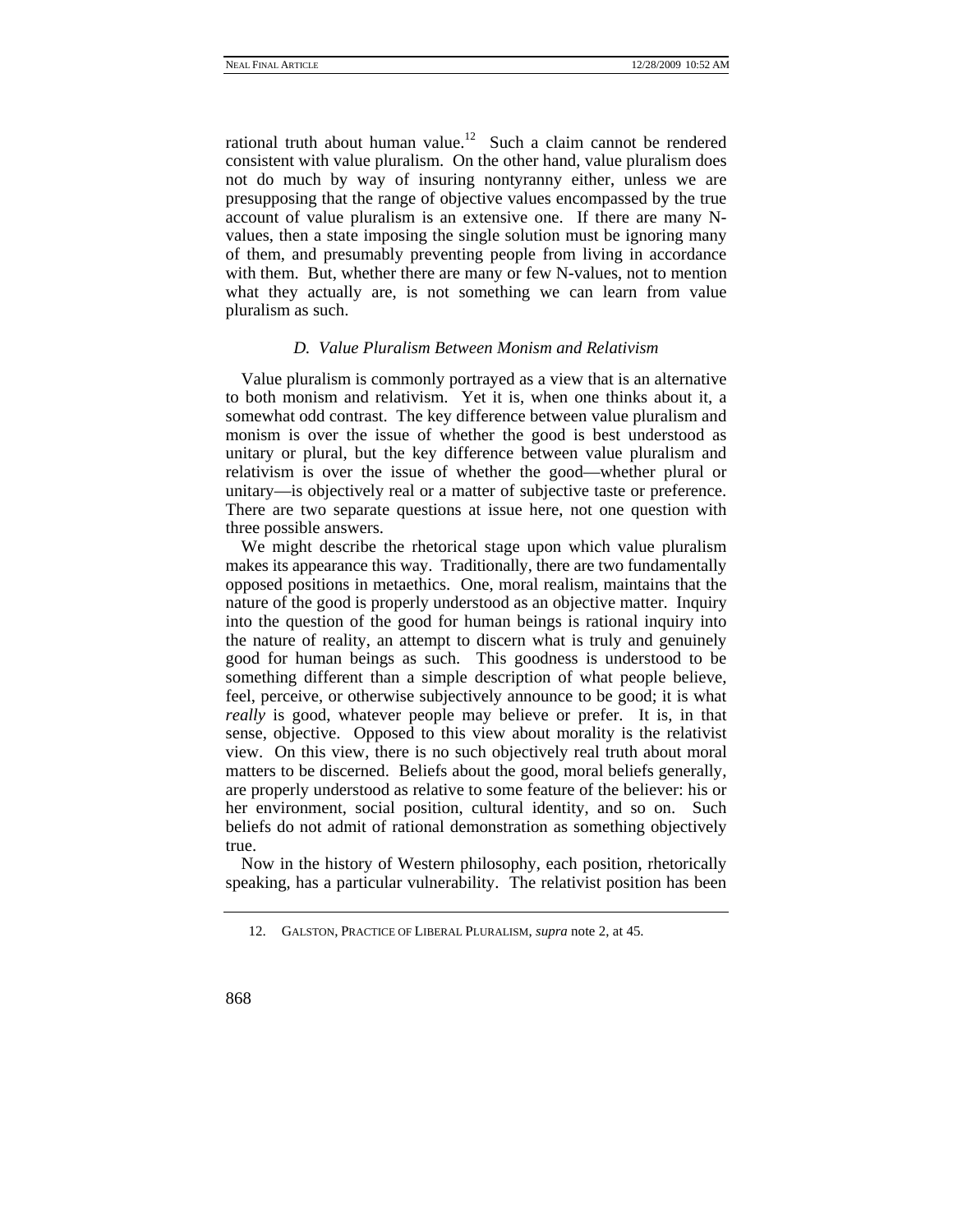rational truth about human value.<sup>12</sup> Such a claim cannot be rendered consistent with value pluralism. On the other hand, value pluralism does not do much by way of insuring nontyranny either, unless we are presupposing that the range of objective values encompassed by the true account of value pluralism is an extensive one. If there are many Nvalues, then a state imposing the single solution must be ignoring many of them, and presumably preventing people from living in accordance with them. But, whether there are many or few N-values, not to mention what they actually are, is not something we can learn from value pluralism as such.

## *D. Value Pluralism Between Monism and Relativism*

Value pluralism is commonly portrayed as a view that is an alternative to both monism and relativism. Yet it is, when one thinks about it, a somewhat odd contrast. The key difference between value pluralism and monism is over the issue of whether the good is best understood as unitary or plural, but the key difference between value pluralism and relativism is over the issue of whether the good—whether plural or unitary—is objectively real or a matter of subjective taste or preference. There are two separate questions at issue here, not one question with three possible answers.

We might describe the rhetorical stage upon which value pluralism makes its appearance this way. Traditionally, there are two fundamentally opposed positions in metaethics. One, moral realism, maintains that the nature of the good is properly understood as an objective matter. Inquiry into the question of the good for human beings is rational inquiry into the nature of reality, an attempt to discern what is truly and genuinely good for human beings as such. This goodness is understood to be something different than a simple description of what people believe, feel, perceive, or otherwise subjectively announce to be good; it is what *really* is good, whatever people may believe or prefer. It is, in that sense, objective. Opposed to this view about morality is the relativist view. On this view, there is no such objectively real truth about moral matters to be discerned. Beliefs about the good, moral beliefs generally, are properly understood as relative to some feature of the believer: his or her environment, social position, cultural identity, and so on. Such beliefs do not admit of rational demonstration as something objectively true.

Now in the history of Western philosophy, each position, rhetorically speaking, has a particular vulnerability. The relativist position has been

 <sup>12.</sup> GALSTON, PRACTICE OF LIBERAL PLURALISM, *supra* note 2, at 45.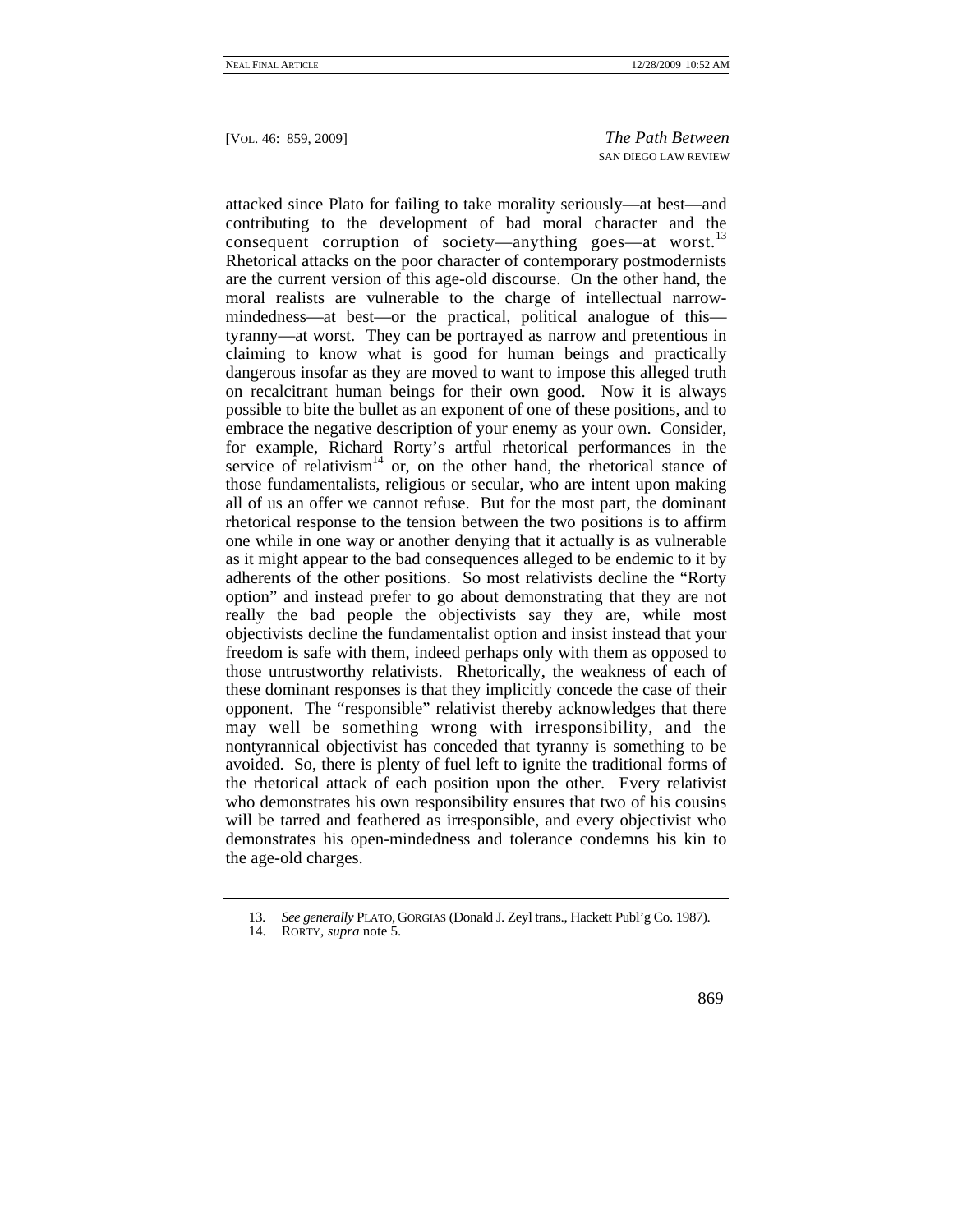attacked since Plato for failing to take morality seriously—at best—and contributing to the development of bad moral character and the consequent corruption of society—anything goes—at worst.<sup>13</sup> Rhetorical attacks on the poor character of contemporary postmodernists are the current version of this age-old discourse. On the other hand, the moral realists are vulnerable to the charge of intellectual narrowmindedness—at best—or the practical, political analogue of this tyranny—at worst. They can be portrayed as narrow and pretentious in claiming to know what is good for human beings and practically dangerous insofar as they are moved to want to impose this alleged truth on recalcitrant human beings for their own good. Now it is always possible to bite the bullet as an exponent of one of these positions, and to embrace the negative description of your enemy as your own. Consider, for example, Richard Rorty's artful rhetorical performances in the service of relativism<sup>14</sup> or, on the other hand, the rhetorical stance of those fundamentalists, religious or secular, who are intent upon making all of us an offer we cannot refuse. But for the most part, the dominant rhetorical response to the tension between the two positions is to affirm one while in one way or another denying that it actually is as vulnerable as it might appear to the bad consequences alleged to be endemic to it by adherents of the other positions. So most relativists decline the "Rorty option" and instead prefer to go about demonstrating that they are not really the bad people the objectivists say they are, while most objectivists decline the fundamentalist option and insist instead that your freedom is safe with them, indeed perhaps only with them as opposed to those untrustworthy relativists. Rhetorically, the weakness of each of these dominant responses is that they implicitly concede the case of their opponent. The "responsible" relativist thereby acknowledges that there may well be something wrong with irresponsibility, and the nontyrannical objectivist has conceded that tyranny is something to be avoided. So, there is plenty of fuel left to ignite the traditional forms of the rhetorical attack of each position upon the other. Every relativist who demonstrates his own responsibility ensures that two of his cousins will be tarred and feathered as irresponsible, and every objectivist who demonstrates his open-mindedness and tolerance condemns his kin to the age-old charges.

<sup>13</sup>*. See generally* PLATO, GORGIAS (Donald J. Zeyl trans., Hackett Publ'g Co. 1987).

 <sup>14.</sup> RORTY, *supra* note 5.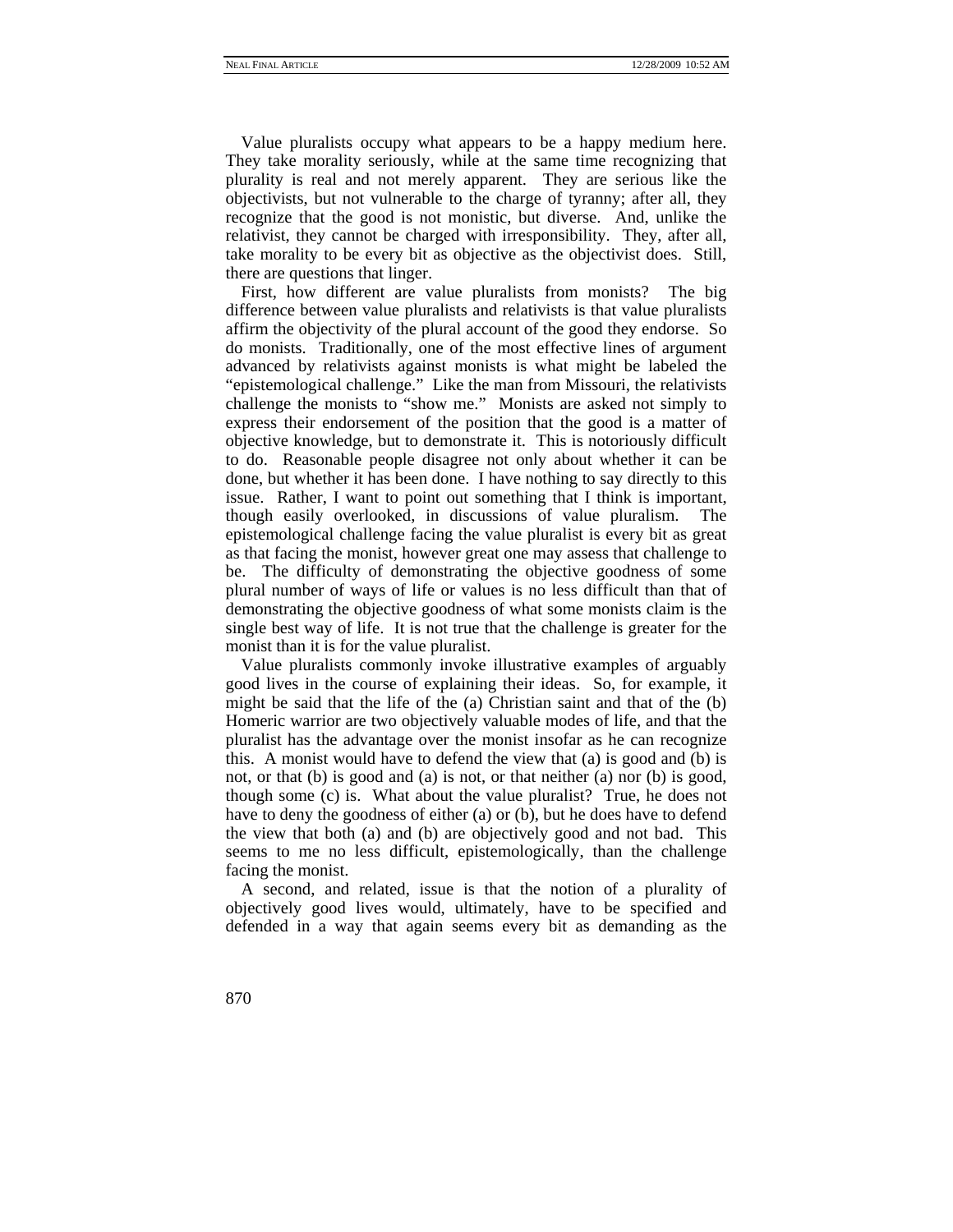Value pluralists occupy what appears to be a happy medium here. They take morality seriously, while at the same time recognizing that plurality is real and not merely apparent. They are serious like the objectivists, but not vulnerable to the charge of tyranny; after all, they recognize that the good is not monistic, but diverse. And, unlike the relativist, they cannot be charged with irresponsibility. They, after all, take morality to be every bit as objective as the objectivist does. Still, there are questions that linger.

First, how different are value pluralists from monists? The big difference between value pluralists and relativists is that value pluralists affirm the objectivity of the plural account of the good they endorse. So do monists. Traditionally, one of the most effective lines of argument advanced by relativists against monists is what might be labeled the "epistemological challenge." Like the man from Missouri, the relativists challenge the monists to "show me." Monists are asked not simply to express their endorsement of the position that the good is a matter of objective knowledge, but to demonstrate it. This is notoriously difficult to do. Reasonable people disagree not only about whether it can be done, but whether it has been done. I have nothing to say directly to this issue. Rather, I want to point out something that I think is important, though easily overlooked, in discussions of value pluralism. The epistemological challenge facing the value pluralist is every bit as great as that facing the monist, however great one may assess that challenge to be. The difficulty of demonstrating the objective goodness of some plural number of ways of life or values is no less difficult than that of demonstrating the objective goodness of what some monists claim is the single best way of life. It is not true that the challenge is greater for the monist than it is for the value pluralist.

Value pluralists commonly invoke illustrative examples of arguably good lives in the course of explaining their ideas. So, for example, it might be said that the life of the (a) Christian saint and that of the (b) Homeric warrior are two objectively valuable modes of life, and that the pluralist has the advantage over the monist insofar as he can recognize this. A monist would have to defend the view that (a) is good and (b) is not, or that (b) is good and (a) is not, or that neither (a) nor (b) is good, though some (c) is. What about the value pluralist? True, he does not have to deny the goodness of either (a) or (b), but he does have to defend the view that both (a) and (b) are objectively good and not bad. This seems to me no less difficult, epistemologically, than the challenge facing the monist.

A second, and related, issue is that the notion of a plurality of objectively good lives would, ultimately, have to be specified and defended in a way that again seems every bit as demanding as the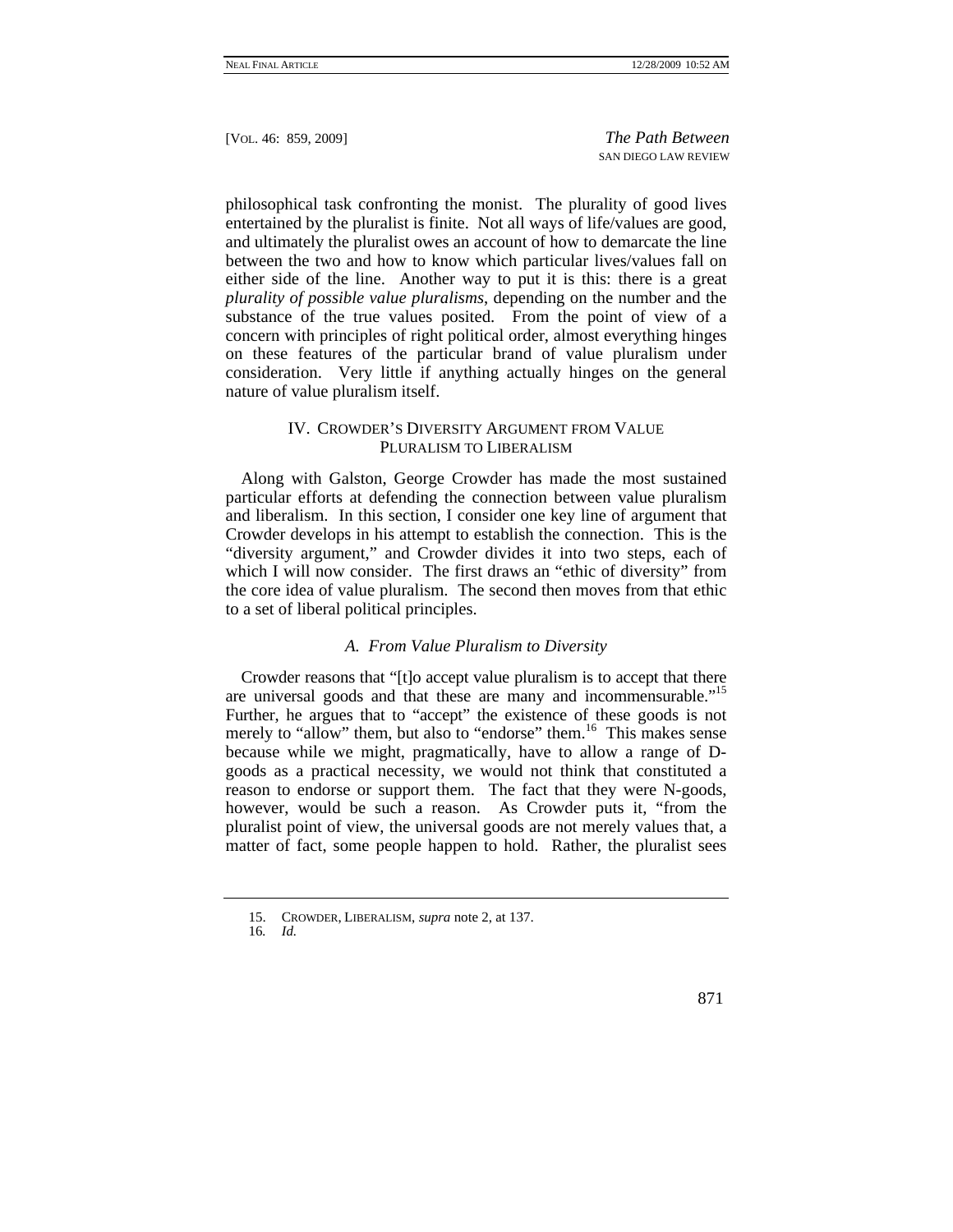philosophical task confronting the monist. The plurality of good lives entertained by the pluralist is finite. Not all ways of life/values are good, and ultimately the pluralist owes an account of how to demarcate the line between the two and how to know which particular lives/values fall on either side of the line. Another way to put it is this: there is a great *plurality of possible value pluralisms*, depending on the number and the substance of the true values posited. From the point of view of a concern with principles of right political order, almost everything hinges on these features of the particular brand of value pluralism under consideration. Very little if anything actually hinges on the general nature of value pluralism itself.

# IV. CROWDER'S DIVERSITY ARGUMENT FROM VALUE PLURALISM TO LIBERALISM

Along with Galston, George Crowder has made the most sustained particular efforts at defending the connection between value pluralism and liberalism. In this section, I consider one key line of argument that Crowder develops in his attempt to establish the connection. This is the "diversity argument," and Crowder divides it into two steps, each of which I will now consider. The first draws an "ethic of diversity" from the core idea of value pluralism. The second then moves from that ethic to a set of liberal political principles.

## *A. From Value Pluralism to Diversity*

Crowder reasons that "[t]o accept value pluralism is to accept that there are universal goods and that these are many and incommensurable."<sup>15</sup> Further, he argues that to "accept" the existence of these goods is not merely to "allow" them, but also to "endorse" them.<sup>16</sup> This makes sense because while we might, pragmatically, have to allow a range of Dgoods as a practical necessity, we would not think that constituted a reason to endorse or support them. The fact that they were N-goods, however, would be such a reason. As Crowder puts it, "from the pluralist point of view, the universal goods are not merely values that, a matter of fact, some people happen to hold. Rather, the pluralist sees

 <sup>15.</sup> CROWDER, LIBERALISM, *supra* note 2, at 137.

<sup>16</sup>*. Id.*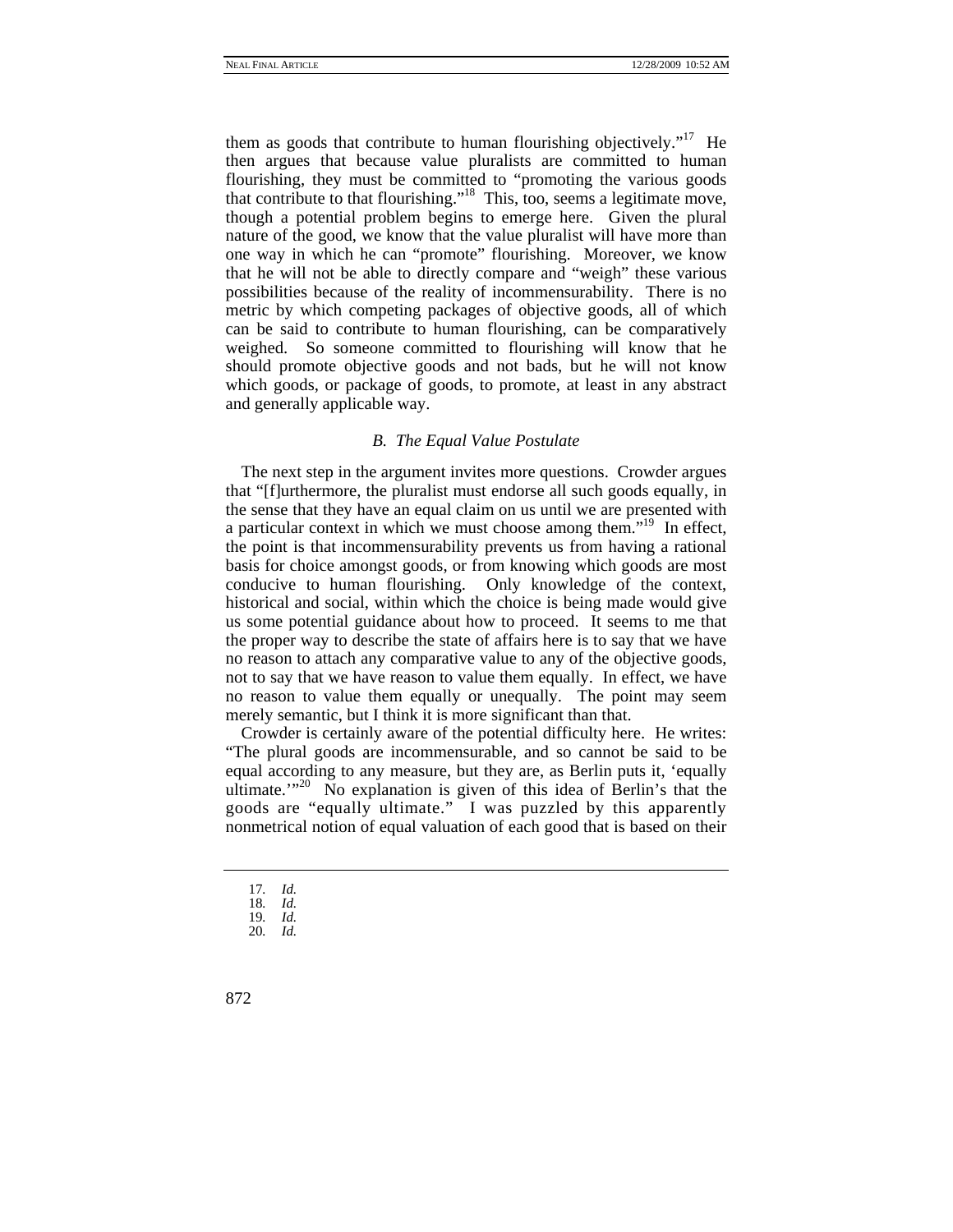them as goods that contribute to human flourishing objectively."<sup>17</sup> He then argues that because value pluralists are committed to human flourishing, they must be committed to "promoting the various goods that contribute to that flourishing."18 This, too, seems a legitimate move, though a potential problem begins to emerge here. Given the plural nature of the good, we know that the value pluralist will have more than one way in which he can "promote" flourishing. Moreover, we know that he will not be able to directly compare and "weigh" these various possibilities because of the reality of incommensurability. There is no metric by which competing packages of objective goods, all of which can be said to contribute to human flourishing, can be comparatively weighed. So someone committed to flourishing will know that he should promote objective goods and not bads, but he will not know which goods, or package of goods, to promote, at least in any abstract and generally applicable way.

#### *B. The Equal Value Postulate*

The next step in the argument invites more questions. Crowder argues that "[f]urthermore, the pluralist must endorse all such goods equally, in the sense that they have an equal claim on us until we are presented with a particular context in which we must choose among them."<sup>19</sup> In effect, the point is that incommensurability prevents us from having a rational basis for choice amongst goods, or from knowing which goods are most conducive to human flourishing. Only knowledge of the context, historical and social, within which the choice is being made would give us some potential guidance about how to proceed. It seems to me that the proper way to describe the state of affairs here is to say that we have no reason to attach any comparative value to any of the objective goods, not to say that we have reason to value them equally. In effect, we have no reason to value them equally or unequally. The point may seem merely semantic, but I think it is more significant than that.

Crowder is certainly aware of the potential difficulty here. He writes: "The plural goods are incommensurable, and so cannot be said to be equal according to any measure, but they are, as Berlin puts it, 'equally ultimate."<sup>20</sup> No explanation is given of this idea of Berlin's that the goods are "equally ultimate." I was puzzled by this apparently nonmetrical notion of equal valuation of each good that is based on their

<sup>17</sup>*. Id.*

<sup>18</sup>*. Id.* 19*. Id.*

<sup>20</sup>*. Id.*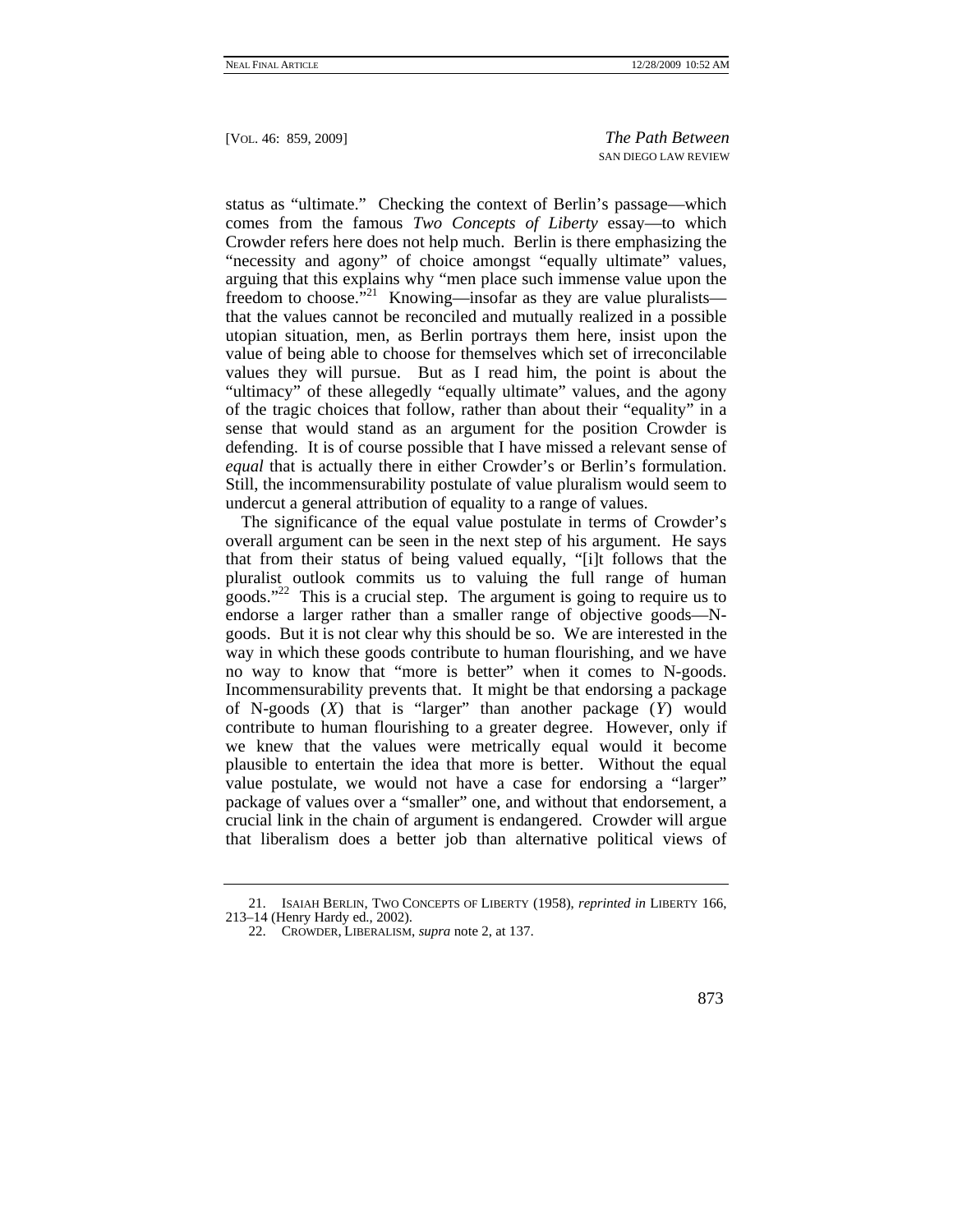status as "ultimate." Checking the context of Berlin's passage—which comes from the famous *Two Concepts of Liberty* essay—to which Crowder refers here does not help much. Berlin is there emphasizing the "necessity and agony" of choice amongst "equally ultimate" values, arguing that this explains why "men place such immense value upon the freedom to choose.<sup>5,21</sup> Knowing—insofar as they are value pluralists that the values cannot be reconciled and mutually realized in a possible utopian situation, men, as Berlin portrays them here, insist upon the value of being able to choose for themselves which set of irreconcilable values they will pursue. But as I read him, the point is about the "ultimacy" of these allegedly "equally ultimate" values, and the agony of the tragic choices that follow, rather than about their "equality" in a sense that would stand as an argument for the position Crowder is defending. It is of course possible that I have missed a relevant sense of *equal* that is actually there in either Crowder's or Berlin's formulation. Still, the incommensurability postulate of value pluralism would seem to undercut a general attribution of equality to a range of values.

The significance of the equal value postulate in terms of Crowder's overall argument can be seen in the next step of his argument. He says that from their status of being valued equally, "[i]t follows that the pluralist outlook commits us to valuing the full range of human goods."<sup>22</sup> This is a crucial step. The argument is going to require us to endorse a larger rather than a smaller range of objective goods—Ngoods. But it is not clear why this should be so. We are interested in the way in which these goods contribute to human flourishing, and we have no way to know that "more is better" when it comes to N-goods. Incommensurability prevents that. It might be that endorsing a package of N-goods (*X*) that is "larger" than another package (*Y*) would contribute to human flourishing to a greater degree. However, only if we knew that the values were metrically equal would it become plausible to entertain the idea that more is better. Without the equal value postulate, we would not have a case for endorsing a "larger" package of values over a "smaller" one, and without that endorsement, a crucial link in the chain of argument is endangered. Crowder will argue that liberalism does a better job than alternative political views of

 <sup>21.</sup> ISAIAH BERLIN, TWO CONCEPTS OF LIBERTY (1958), *reprinted in* LIBERTY 166, 213–14 (Henry Hardy ed., 2002).

 <sup>22.</sup> CROWDER, LIBERALISM, *supra* note 2, at 137.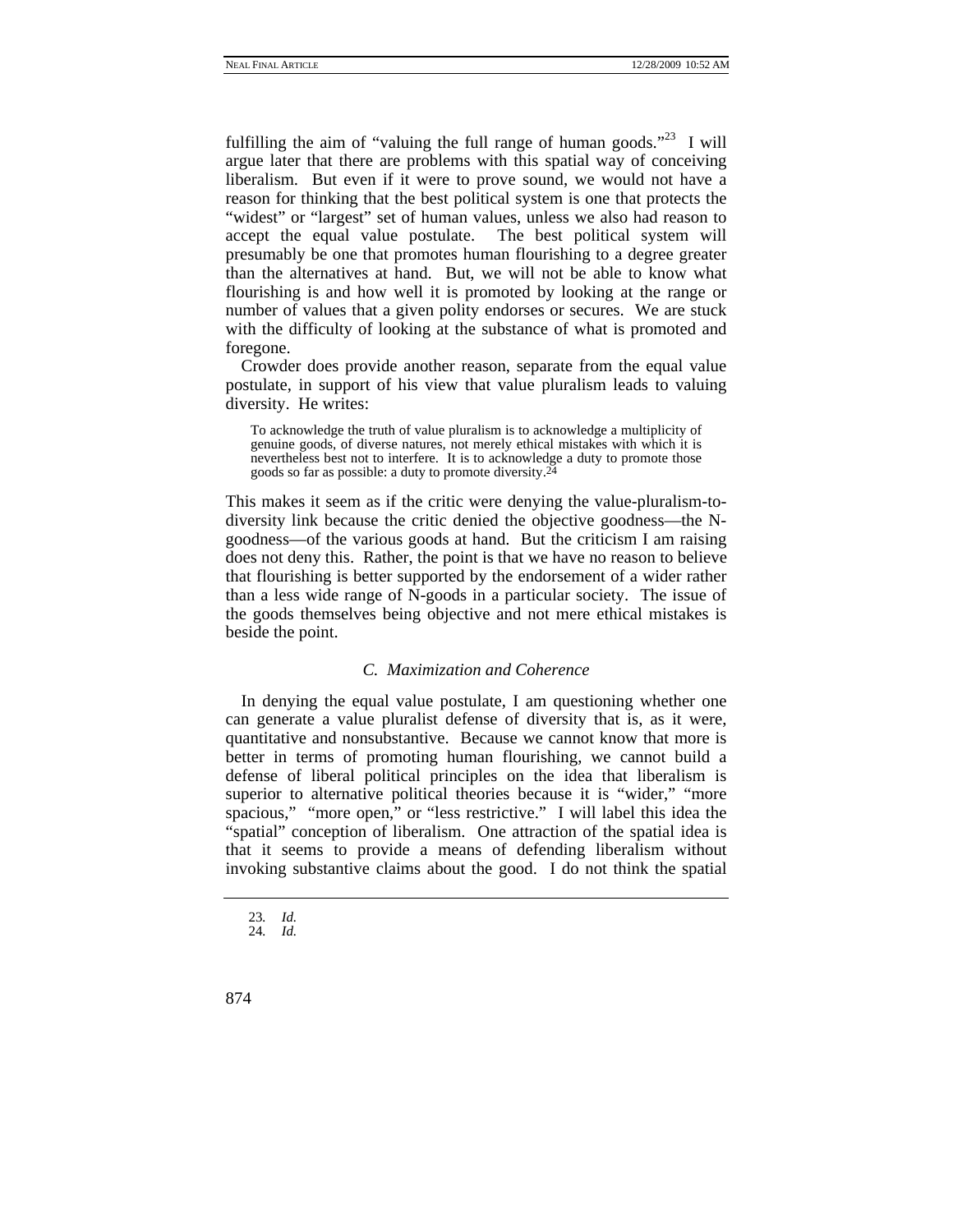fulfilling the aim of "valuing the full range of human goods."<sup>23</sup> I will argue later that there are problems with this spatial way of conceiving liberalism. But even if it were to prove sound, we would not have a reason for thinking that the best political system is one that protects the "widest" or "largest" set of human values, unless we also had reason to accept the equal value postulate. The best political system will presumably be one that promotes human flourishing to a degree greater than the alternatives at hand. But, we will not be able to know what flourishing is and how well it is promoted by looking at the range or number of values that a given polity endorses or secures. We are stuck with the difficulty of looking at the substance of what is promoted and foregone.

Crowder does provide another reason, separate from the equal value postulate, in support of his view that value pluralism leads to valuing diversity. He writes:

To acknowledge the truth of value pluralism is to acknowledge a multiplicity of genuine goods, of diverse natures, not merely ethical mistakes with which it is nevertheless best not to interfere. It is to acknowledge a duty to promote those goods so far as possible: a duty to promote diversity. $\tilde{2}$ 

This makes it seem as if the critic were denying the value-pluralism-todiversity link because the critic denied the objective goodness—the Ngoodness—of the various goods at hand. But the criticism I am raising does not deny this. Rather, the point is that we have no reason to believe that flourishing is better supported by the endorsement of a wider rather than a less wide range of N-goods in a particular society. The issue of the goods themselves being objective and not mere ethical mistakes is beside the point.

### *C. Maximization and Coherence*

In denying the equal value postulate, I am questioning whether one can generate a value pluralist defense of diversity that is, as it were, quantitative and nonsubstantive. Because we cannot know that more is better in terms of promoting human flourishing, we cannot build a defense of liberal political principles on the idea that liberalism is superior to alternative political theories because it is "wider," "more spacious," "more open," or "less restrictive." I will label this idea the "spatial" conception of liberalism. One attraction of the spatial idea is that it seems to provide a means of defending liberalism without invoking substantive claims about the good. I do not think the spatial

<sup>23</sup>*. Id.*

<sup>24</sup>*. Id.*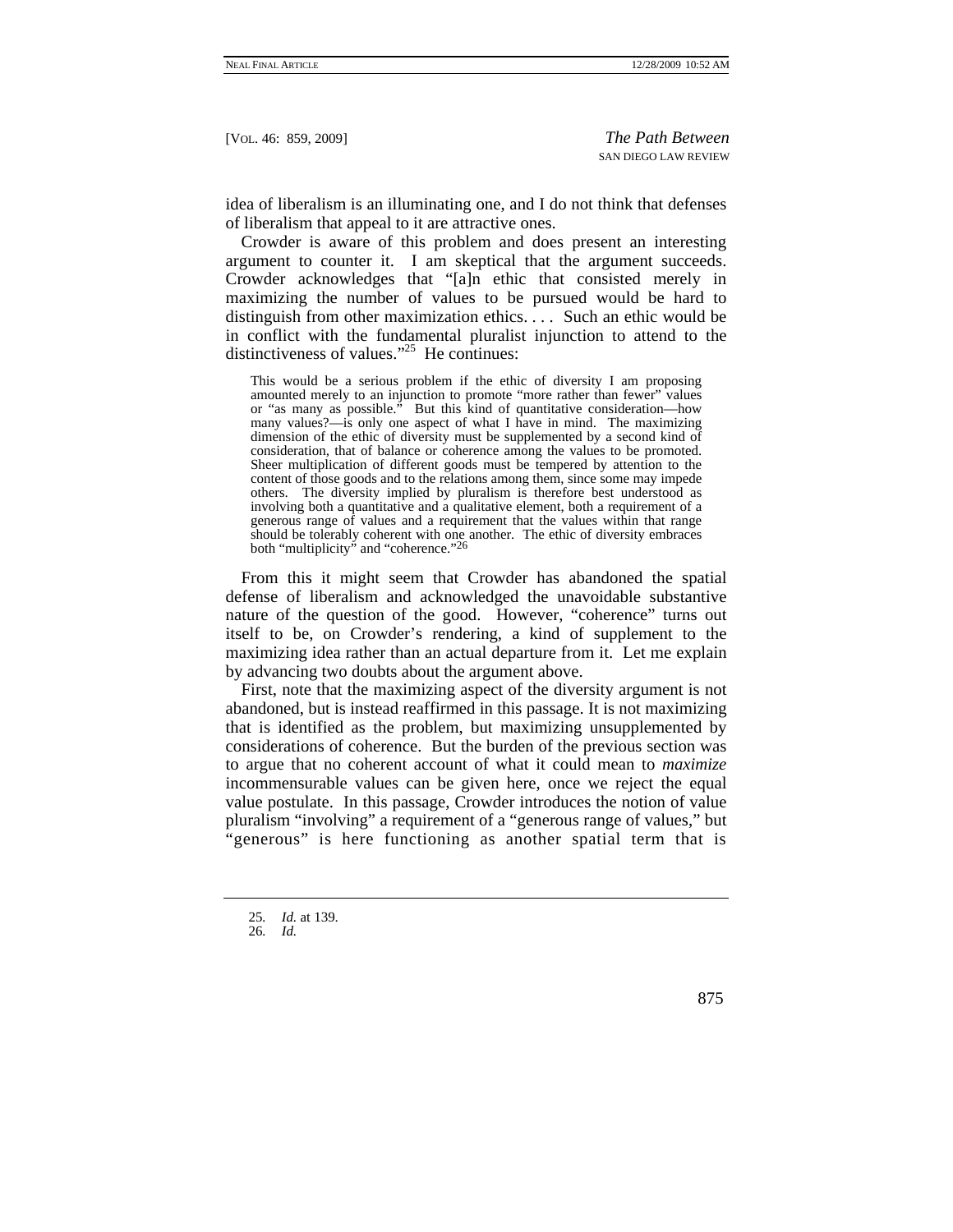idea of liberalism is an illuminating one, and I do not think that defenses of liberalism that appeal to it are attractive ones.

Crowder is aware of this problem and does present an interesting argument to counter it. I am skeptical that the argument succeeds. Crowder acknowledges that "[a]n ethic that consisted merely in maximizing the number of values to be pursued would be hard to distinguish from other maximization ethics. . . . Such an ethic would be in conflict with the fundamental pluralist injunction to attend to the distinctiveness of values."<sup>25</sup> He continues:

This would be a serious problem if the ethic of diversity I am proposing amounted merely to an injunction to promote "more rather than fewer" values or "as many as possible." But this kind of quantitative consideration—how many values?—is only one aspect of what I have in mind. The maximizing dimension of the ethic of diversity must be supplemented by a second kind of consideration, that of balance or coherence among the values to be promoted. Sheer multiplication of different goods must be tempered by attention to the content of those goods and to the relations among them, since some may impede others. The diversity implied by pluralism is therefore best understood as involving both a quantitative and a qualitative element, both a requirement of a generous range of values and a requirement that the values within that range should be tolerably coherent with one another. The ethic of diversity embraces both "multiplicity" and "coherence."<sup>26</sup>

From this it might seem that Crowder has abandoned the spatial defense of liberalism and acknowledged the unavoidable substantive nature of the question of the good. However, "coherence" turns out itself to be, on Crowder's rendering, a kind of supplement to the maximizing idea rather than an actual departure from it. Let me explain by advancing two doubts about the argument above.

First, note that the maximizing aspect of the diversity argument is not abandoned, but is instead reaffirmed in this passage. It is not maximizing that is identified as the problem, but maximizing unsupplemented by considerations of coherence. But the burden of the previous section was to argue that no coherent account of what it could mean to *maximize* incommensurable values can be given here, once we reject the equal value postulate. In this passage, Crowder introduces the notion of value pluralism "involving" a requirement of a "generous range of values," but "generous" is here functioning as another spatial term that is

<sup>25</sup>*. Id.* at 139.

<sup>26</sup>*. Id.*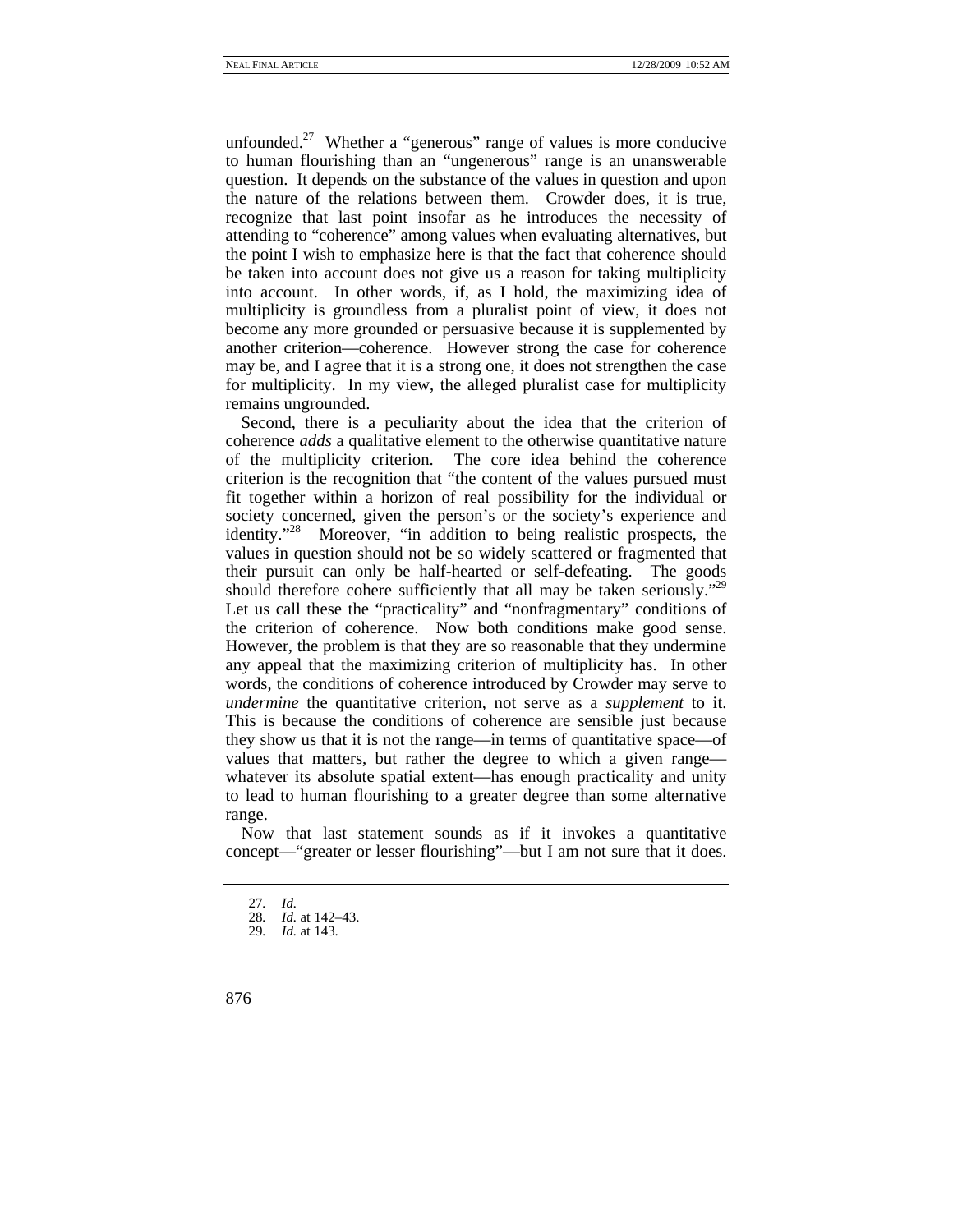unfounded.<sup>27</sup> Whether a "generous" range of values is more conducive to human flourishing than an "ungenerous" range is an unanswerable question. It depends on the substance of the values in question and upon the nature of the relations between them. Crowder does, it is true, recognize that last point insofar as he introduces the necessity of attending to "coherence" among values when evaluating alternatives, but the point I wish to emphasize here is that the fact that coherence should be taken into account does not give us a reason for taking multiplicity into account. In other words, if, as I hold, the maximizing idea of multiplicity is groundless from a pluralist point of view, it does not become any more grounded or persuasive because it is supplemented by another criterion—coherence. However strong the case for coherence may be, and I agree that it is a strong one, it does not strengthen the case for multiplicity. In my view, the alleged pluralist case for multiplicity remains ungrounded.

Second, there is a peculiarity about the idea that the criterion of coherence *adds* a qualitative element to the otherwise quantitative nature of the multiplicity criterion. The core idea behind the coherence criterion is the recognition that "the content of the values pursued must fit together within a horizon of real possibility for the individual or society concerned, given the person's or the society's experience and identity."28 Moreover, "in addition to being realistic prospects, the values in question should not be so widely scattered or fragmented that their pursuit can only be half-hearted or self-defeating. The goods should therefore cohere sufficiently that all may be taken seriously."<sup>29</sup> Let us call these the "practicality" and "nonfragmentary" conditions of the criterion of coherence. Now both conditions make good sense. However, the problem is that they are so reasonable that they undermine any appeal that the maximizing criterion of multiplicity has. In other words, the conditions of coherence introduced by Crowder may serve to *undermine* the quantitative criterion, not serve as a *supplement* to it. This is because the conditions of coherence are sensible just because they show us that it is not the range—in terms of quantitative space—of values that matters, but rather the degree to which a given range whatever its absolute spatial extent—has enough practicality and unity to lead to human flourishing to a greater degree than some alternative range.

Now that last statement sounds as if it invokes a quantitative concept—"greater or lesser flourishing"—but I am not sure that it does.

<sup>27</sup>*. Id.*

<sup>28</sup>*. Id.* at 142–43.

<sup>29</sup>*. Id.* at 143.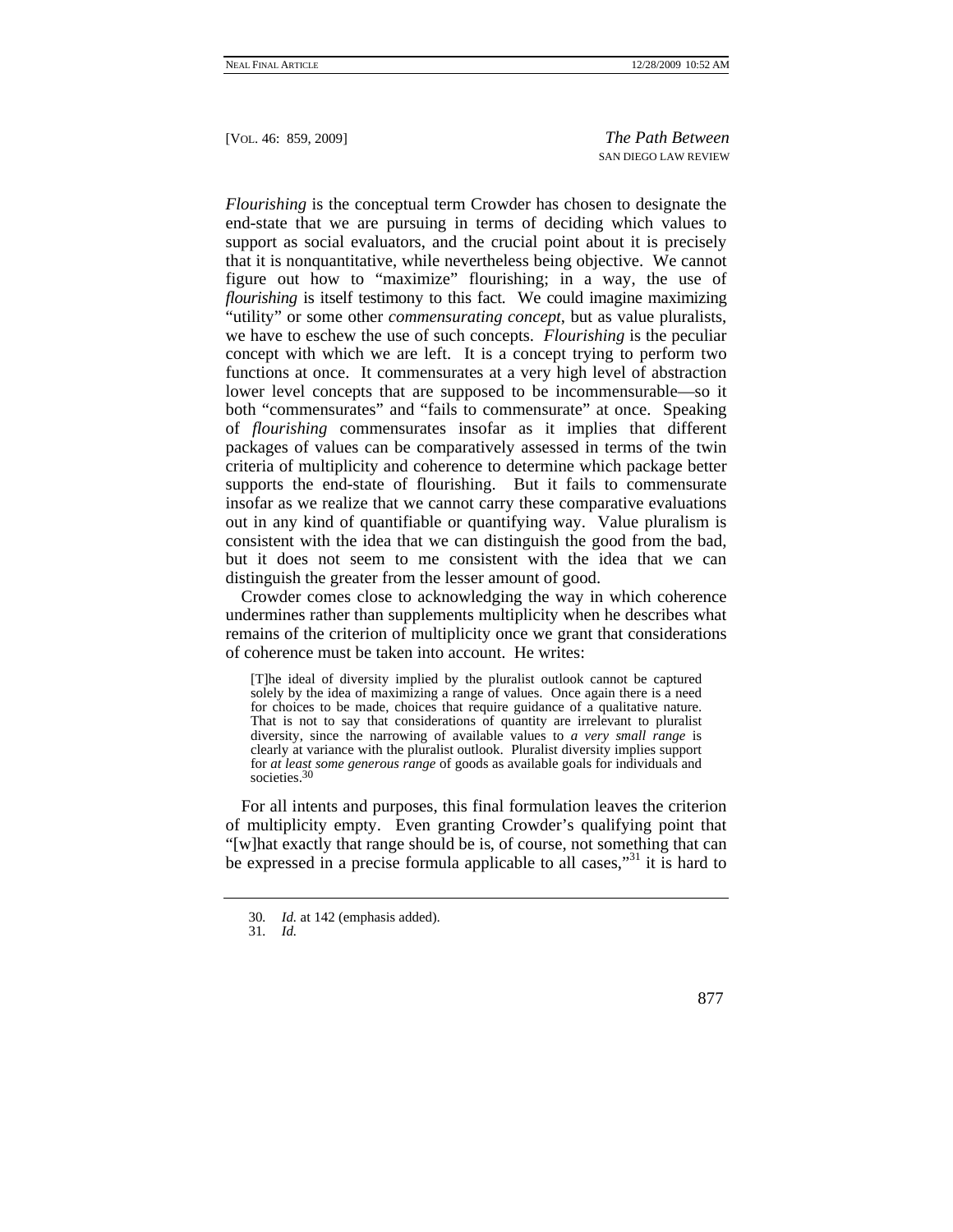*Flourishing* is the conceptual term Crowder has chosen to designate the end-state that we are pursuing in terms of deciding which values to support as social evaluators, and the crucial point about it is precisely that it is nonquantitative, while nevertheless being objective. We cannot figure out how to "maximize" flourishing; in a way, the use of *flourishing* is itself testimony to this fact. We could imagine maximizing "utility" or some other *commensurating concept*, but as value pluralists, we have to eschew the use of such concepts. *Flourishing* is the peculiar concept with which we are left. It is a concept trying to perform two functions at once. It commensurates at a very high level of abstraction lower level concepts that are supposed to be incommensurable—so it both "commensurates" and "fails to commensurate" at once. Speaking of *flourishing* commensurates insofar as it implies that different packages of values can be comparatively assessed in terms of the twin criteria of multiplicity and coherence to determine which package better supports the end-state of flourishing. But it fails to commensurate insofar as we realize that we cannot carry these comparative evaluations out in any kind of quantifiable or quantifying way. Value pluralism is consistent with the idea that we can distinguish the good from the bad, but it does not seem to me consistent with the idea that we can distinguish the greater from the lesser amount of good.

Crowder comes close to acknowledging the way in which coherence undermines rather than supplements multiplicity when he describes what remains of the criterion of multiplicity once we grant that considerations of coherence must be taken into account. He writes:

[T]he ideal of diversity implied by the pluralist outlook cannot be captured solely by the idea of maximizing a range of values. Once again there is a need for choices to be made, choices that require guidance of a qualitative nature. That is not to say that considerations of quantity are irrelevant to pluralist diversity, since the narrowing of available values to *a very small range* is clearly at variance with the pluralist outlook. Pluralist diversity implies support for *at least some generous range* of goods as available goals for individuals and societies.<sup>30</sup>

For all intents and purposes, this final formulation leaves the criterion of multiplicity empty. Even granting Crowder's qualifying point that "[w]hat exactly that range should be is, of course, not something that can be expressed in a precise formula applicable to all cases,"<sup>31</sup> it is hard to

<sup>30</sup>*. Id.* at 142 (emphasis added).

<sup>31</sup>*. Id.*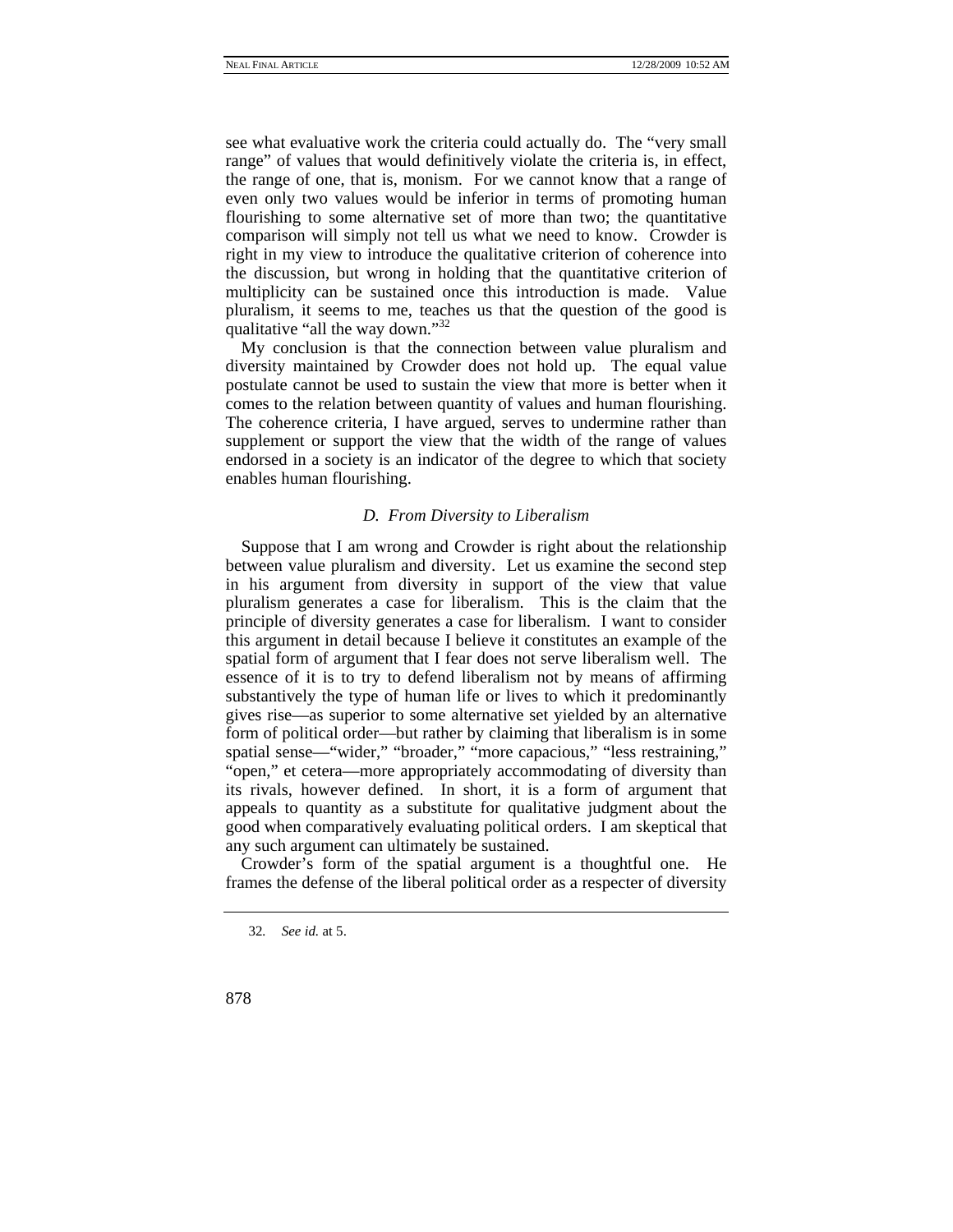see what evaluative work the criteria could actually do. The "very small range" of values that would definitively violate the criteria is, in effect, the range of one, that is, monism. For we cannot know that a range of even only two values would be inferior in terms of promoting human flourishing to some alternative set of more than two; the quantitative comparison will simply not tell us what we need to know. Crowder is right in my view to introduce the qualitative criterion of coherence into the discussion, but wrong in holding that the quantitative criterion of multiplicity can be sustained once this introduction is made. Value pluralism, it seems to me, teaches us that the question of the good is qualitative "all the way down."<sup>32</sup>

My conclusion is that the connection between value pluralism and diversity maintained by Crowder does not hold up. The equal value postulate cannot be used to sustain the view that more is better when it comes to the relation between quantity of values and human flourishing. The coherence criteria, I have argued, serves to undermine rather than supplement or support the view that the width of the range of values endorsed in a society is an indicator of the degree to which that society enables human flourishing.

#### *D. From Diversity to Liberalism*

Suppose that I am wrong and Crowder is right about the relationship between value pluralism and diversity. Let us examine the second step in his argument from diversity in support of the view that value pluralism generates a case for liberalism. This is the claim that the principle of diversity generates a case for liberalism. I want to consider this argument in detail because I believe it constitutes an example of the spatial form of argument that I fear does not serve liberalism well. The essence of it is to try to defend liberalism not by means of affirming substantively the type of human life or lives to which it predominantly gives rise—as superior to some alternative set yielded by an alternative form of political order—but rather by claiming that liberalism is in some spatial sense—"wider," "broader," "more capacious," "less restraining," "open," et cetera—more appropriately accommodating of diversity than its rivals, however defined. In short, it is a form of argument that appeals to quantity as a substitute for qualitative judgment about the good when comparatively evaluating political orders. I am skeptical that any such argument can ultimately be sustained.

Crowder's form of the spatial argument is a thoughtful one. He frames the defense of the liberal political order as a respecter of diversity

<sup>32</sup>*. See id.* at 5.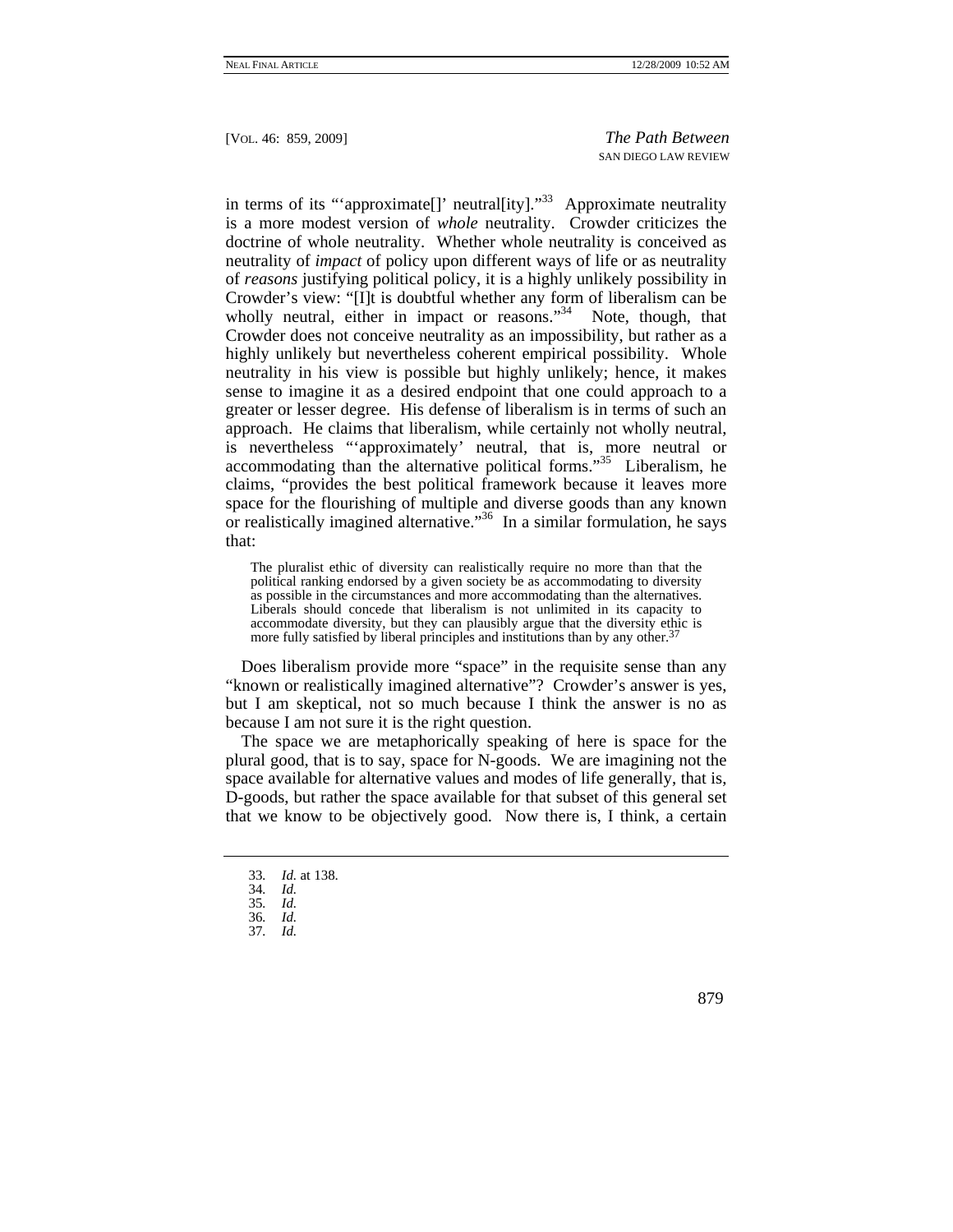in terms of its "'approximate<sup>[]</sup>' neutral[ity]."<sup>33</sup> Approximate neutrality is a more modest version of *whole* neutrality. Crowder criticizes the doctrine of whole neutrality. Whether whole neutrality is conceived as neutrality of *impact* of policy upon different ways of life or as neutrality of *reasons* justifying political policy, it is a highly unlikely possibility in Crowder's view: "[I]t is doubtful whether any form of liberalism can be wholly neutral, either in impact or reasons."<sup>34</sup> Note, though, that Crowder does not conceive neutrality as an impossibility, but rather as a highly unlikely but nevertheless coherent empirical possibility. Whole neutrality in his view is possible but highly unlikely; hence, it makes sense to imagine it as a desired endpoint that one could approach to a greater or lesser degree. His defense of liberalism is in terms of such an approach. He claims that liberalism, while certainly not wholly neutral, is nevertheless "'approximately' neutral, that is, more neutral or accommodating than the alternative political forms. $1.35$  Liberalism, he claims, "provides the best political framework because it leaves more space for the flourishing of multiple and diverse goods than any known or realistically imagined alternative."<sup>36</sup> In a similar formulation, he says that:

The pluralist ethic of diversity can realistically require no more than that the political ranking endorsed by a given society be as accommodating to diversity as possible in the circumstances and more accommodating than the alternatives. Liberals should concede that liberalism is not unlimited in its capacity to accommodate diversity, but they can plausibly argue that the diversity ethic is more fully satisfied by liberal principles and institutions than by any other.<sup>37</sup>

Does liberalism provide more "space" in the requisite sense than any "known or realistically imagined alternative"? Crowder's answer is yes, but I am skeptical, not so much because I think the answer is no as because I am not sure it is the right question.

The space we are metaphorically speaking of here is space for the plural good, that is to say, space for N-goods. We are imagining not the space available for alternative values and modes of life generally, that is, D-goods, but rather the space available for that subset of this general set that we know to be objectively good. Now there is, I think, a certain

- 33*. Id.* at 138.
- 34*. Id.*
- 35*. Id.*
- 36*. Id.*
- 37*. Id.*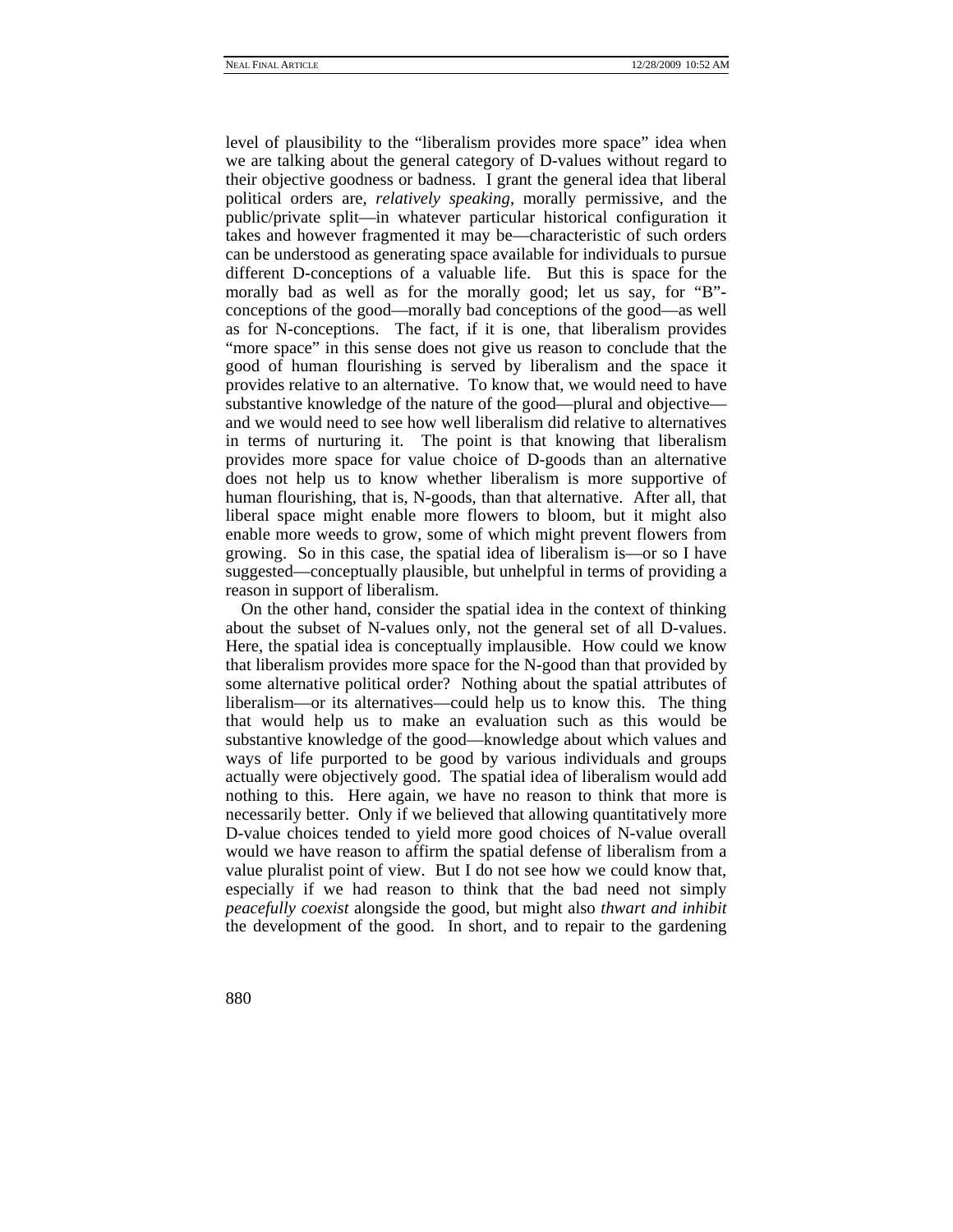level of plausibility to the "liberalism provides more space" idea when we are talking about the general category of D-values without regard to their objective goodness or badness. I grant the general idea that liberal political orders are, *relatively speaking*, morally permissive, and the public/private split—in whatever particular historical configuration it takes and however fragmented it may be—characteristic of such orders can be understood as generating space available for individuals to pursue different D-conceptions of a valuable life. But this is space for the morally bad as well as for the morally good; let us say, for "B" conceptions of the good—morally bad conceptions of the good—as well as for N-conceptions. The fact, if it is one, that liberalism provides "more space" in this sense does not give us reason to conclude that the good of human flourishing is served by liberalism and the space it provides relative to an alternative. To know that, we would need to have substantive knowledge of the nature of the good—plural and objective and we would need to see how well liberalism did relative to alternatives in terms of nurturing it. The point is that knowing that liberalism provides more space for value choice of D-goods than an alternative does not help us to know whether liberalism is more supportive of human flourishing, that is, N-goods, than that alternative. After all, that liberal space might enable more flowers to bloom, but it might also enable more weeds to grow, some of which might prevent flowers from growing. So in this case, the spatial idea of liberalism is—or so I have suggested—conceptually plausible, but unhelpful in terms of providing a reason in support of liberalism.

On the other hand, consider the spatial idea in the context of thinking about the subset of N-values only, not the general set of all D-values. Here, the spatial idea is conceptually implausible. How could we know that liberalism provides more space for the N-good than that provided by some alternative political order? Nothing about the spatial attributes of liberalism—or its alternatives—could help us to know this. The thing that would help us to make an evaluation such as this would be substantive knowledge of the good—knowledge about which values and ways of life purported to be good by various individuals and groups actually were objectively good. The spatial idea of liberalism would add nothing to this. Here again, we have no reason to think that more is necessarily better. Only if we believed that allowing quantitatively more D-value choices tended to yield more good choices of N-value overall would we have reason to affirm the spatial defense of liberalism from a value pluralist point of view. But I do not see how we could know that, especially if we had reason to think that the bad need not simply *peacefully coexist* alongside the good, but might also *thwart and inhibit* the development of the good. In short, and to repair to the gardening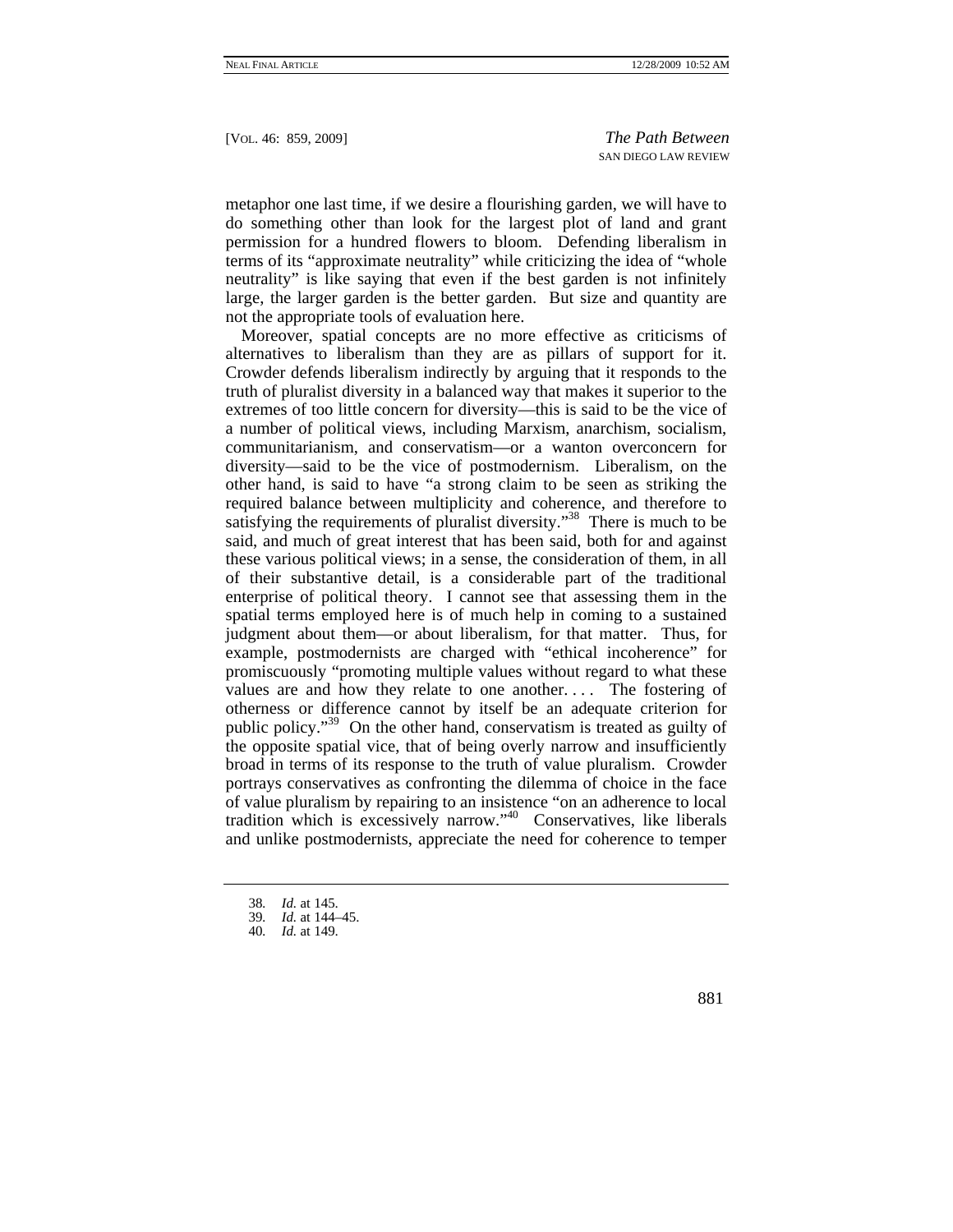metaphor one last time, if we desire a flourishing garden, we will have to do something other than look for the largest plot of land and grant permission for a hundred flowers to bloom. Defending liberalism in terms of its "approximate neutrality" while criticizing the idea of "whole neutrality" is like saying that even if the best garden is not infinitely large, the larger garden is the better garden. But size and quantity are not the appropriate tools of evaluation here.

Moreover, spatial concepts are no more effective as criticisms of alternatives to liberalism than they are as pillars of support for it. Crowder defends liberalism indirectly by arguing that it responds to the truth of pluralist diversity in a balanced way that makes it superior to the extremes of too little concern for diversity—this is said to be the vice of a number of political views, including Marxism, anarchism, socialism, communitarianism, and conservatism—or a wanton overconcern for diversity—said to be the vice of postmodernism. Liberalism, on the other hand, is said to have "a strong claim to be seen as striking the required balance between multiplicity and coherence, and therefore to satisfying the requirements of pluralist diversity."<sup>38</sup> There is much to be said, and much of great interest that has been said, both for and against these various political views; in a sense, the consideration of them, in all of their substantive detail, is a considerable part of the traditional enterprise of political theory. I cannot see that assessing them in the spatial terms employed here is of much help in coming to a sustained judgment about them—or about liberalism, for that matter. Thus, for example, postmodernists are charged with "ethical incoherence" for promiscuously "promoting multiple values without regard to what these values are and how they relate to one another.... The fostering of otherness or difference cannot by itself be an adequate criterion for public policy."<sup>39</sup> On the other hand, conservatism is treated as guilty of the opposite spatial vice, that of being overly narrow and insufficiently broad in terms of its response to the truth of value pluralism. Crowder portrays conservatives as confronting the dilemma of choice in the face of value pluralism by repairing to an insistence "on an adherence to local tradition which is excessively narrow."40 Conservatives, like liberals and unlike postmodernists, appreciate the need for coherence to temper

<sup>38</sup>*. Id.* at 145.

<sup>39</sup>*. Id.* at 144–45.

<sup>40</sup>*. Id.* at 149.